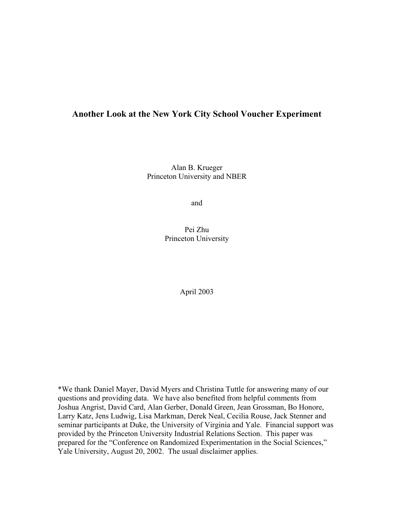# **Another Look at the New York City School Voucher Experiment**

Alan B. Krueger Princeton University and NBER

and

Pei Zhu Princeton University

April 2003

\*We thank Daniel Mayer, David Myers and Christina Tuttle for answering many of our questions and providing data. We have also benefited from helpful comments from Joshua Angrist, David Card, Alan Gerber, Donald Green, Jean Grossman, Bo Honore, Larry Katz, Jens Ludwig, Lisa Markman, Derek Neal, Cecilia Rouse, Jack Stenner and seminar participants at Duke, the University of Virginia and Yale. Financial support was provided by the Princeton University Industrial Relations Section. This paper was prepared for the "Conference on Randomized Experimentation in the Social Sciences," Yale University, August 20, 2002. The usual disclaimer applies.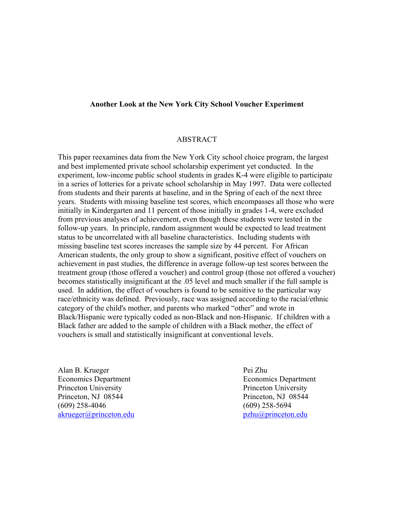## **Another Look at the New York City School Voucher Experiment**

## ABSTRACT

This paper reexamines data from the New York City school choice program, the largest and best implemented private school scholarship experiment yet conducted. In the experiment, low-income public school students in grades K-4 were eligible to participate in a series of lotteries for a private school scholarship in May 1997. Data were collected from students and their parents at baseline, and in the Spring of each of the next three years. Students with missing baseline test scores, which encompasses all those who were initially in Kindergarten and 11 percent of those initially in grades 1-4, were excluded from previous analyses of achievement, even though these students were tested in the follow-up years. In principle, random assignment would be expected to lead treatment status to be uncorrelated with all baseline characteristics. Including students with missing baseline test scores increases the sample size by 44 percent. For African American students, the only group to show a significant, positive effect of vouchers on achievement in past studies, the difference in average follow-up test scores between the treatment group (those offered a voucher) and control group (those not offered a voucher) becomes statistically insignificant at the .05 level and much smaller if the full sample is used. In addition, the effect of vouchers is found to be sensitive to the particular way race/ethnicity was defined. Previously, race was assigned according to the racial/ethnic category of the child's mother, and parents who marked "other" and wrote in Black/Hispanic were typically coded as non-Black and non-Hispanic. If children with a Black father are added to the sample of children with a Black mother, the effect of vouchers is small and statistically insignificant at conventional levels.

Alan B. Krueger Pei Zhu Economics Department Economics Department Princeton University Princeton University Princeton, NJ 08544 Princeton, NJ 08544 (609) 258-4046 (609) 258-5694 [akrueger@princeton.edu](mailto:akrueger@princeton.edu) [pzhu@princeton.edu](mailto:pzhu@princeton.edu)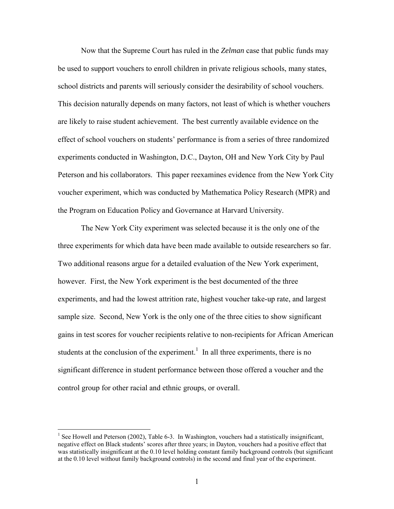Now that the Supreme Court has ruled in the *Zelman* case that public funds may be used to support vouchers to enroll children in private religious schools, many states, school districts and parents will seriously consider the desirability of school vouchers. This decision naturally depends on many factors, not least of which is whether vouchers are likely to raise student achievement. The best currently available evidence on the effect of school vouchers on students' performance is from a series of three randomized experiments conducted in Washington, D.C., Dayton, OH and New York City by Paul Peterson and his collaborators. This paper reexamines evidence from the New York City voucher experiment, which was conducted by Mathematica Policy Research (MPR) and the Program on Education Policy and Governance at Harvard University.

The New York City experiment was selected because it is the only one of the three experiments for which data have been made available to outside researchers so far. Two additional reasons argue for a detailed evaluation of the New York experiment, however. First, the New York experiment is the best documented of the three experiments, and had the lowest attrition rate, highest voucher take-up rate, and largest sample size. Second, New York is the only one of the three cities to show significant gains in test scores for voucher recipients relative to non-recipients for African American studentsat the conclusion of the experiment.<sup>1</sup> In all three experiments, there is no significant difference in student performance between those offered a voucher and the control group for other racial and ethnic groups, or overall.

<span id="page-2-0"></span><sup>&</sup>lt;sup>1</sup> See Howell and Peterson (2002), Table 6-3. In Washington, vouchers had a statistically insignificant, negative effect on Black students' scores after three years; in Dayton, vouchers had a positive effect that was statistically insignificant at the 0.10 level holding constant family background controls (but significant at the 0.10 level without family background controls) in the second and final year of the experiment.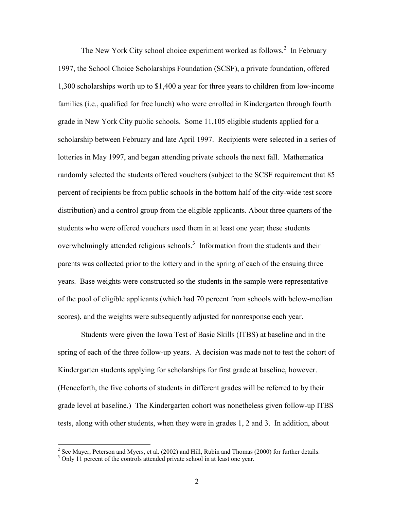TheNew York City school choice experiment worked as follows.<sup>2</sup> In February 1997, the School Choice Scholarships Foundation (SCSF), a private foundation, offered 1,300 scholarships worth up to \$1,400 a year for three years to children from low-income families (i.e., qualified for free lunch) who were enrolled in Kindergarten through fourth grade in New York City public schools. Some 11,105 eligible students applied for a scholarship between February and late April 1997. Recipients were selected in a series of lotteries in May 1997, and began attending private schools the next fall. Mathematica randomly selected the students offered vouchers (subject to the SCSF requirement that 85 percent of recipients be from public schools in the bottom half of the city-wide test score distribution) and a control group from the eligible applicants. About three quarters of the students who were offered vouchers used them in at least one year; these students overwhelmingly attended religious schools.<sup>[3](#page-3-1)</sup> Information from the students and their parents was collected prior to the lottery and in the spring of each of the ensuing three years. Base weights were constructed so the students in the sample were representative of the pool of eligible applicants (which had 70 percent from schools with below-median scores), and the weights were subsequently adjusted for nonresponse each year.

Students were given the Iowa Test of Basic Skills (ITBS) at baseline and in the spring of each of the three follow-up years. A decision was made not to test the cohort of Kindergarten students applying for scholarships for first grade at baseline, however. (Henceforth, the five cohorts of students in different grades will be referred to by their grade level at baseline.) The Kindergarten cohort was nonetheless given follow-up ITBS tests, along with other students, when they were in grades 1, 2 and 3. In addition, about

<span id="page-3-0"></span><sup>&</sup>lt;sup>2</sup> See Mayer, Peterson and Myers, et al. (2002) and Hill, Rubin and Thomas (2000) for further details.

<span id="page-3-1"></span><sup>&</sup>lt;sup>3</sup> Only 11 percent of the controls attended private school in at least one year.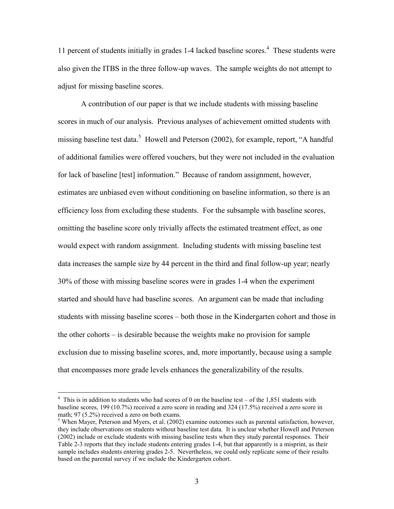11 percent of students initially in grades 1-[4](#page-4-0) lacked baseline scores.<sup>4</sup> These students were also given the ITBS in the three follow-up waves. The sample weights do not attempt to adjust for missing baseline scores.

A contribution of our paper is that we include students with missing baseline scores in much of our analysis. Previous analyses of achievement omitted students with missing baseline test data.<sup>[5](#page-4-1)</sup> Howell and Peterson (2002), for example, report, "A handful of additional families were offered vouchers, but they were not included in the evaluation for lack of baseline [test] information." Because of random assignment, however, estimates are unbiased even without conditioning on baseline information, so there is an efficiency loss from excluding these students. For the subsample with baseline scores, omitting the baseline score only trivially affects the estimated treatment effect, as one would expect with random assignment. Including students with missing baseline test data increases the sample size by 44 percent in the third and final follow-up year; nearly 30% of those with missing baseline scores were in grades 1-4 when the experiment started and should have had baseline scores. An argument can be made that including students with missing baseline scores – both those in the Kindergarten cohort and those in the other cohorts  $-\text{ is desirable because the weights make no provision for sample}$ exclusion due to missing baseline scores, and, more importantly, because using a sample that encompasses more grade levels enhances the generalizability of the results.

<span id="page-4-0"></span><sup>&</sup>lt;sup>4</sup> This is in addition to students who had scores of 0 on the baseline test – of the 1,851 students with baseline scores, 199 (10.7%) received a zero score in reading and 324 (17.5%) received a zero score in math; 97 (5.2%) received a zero on both exams.

<span id="page-4-1"></span> $<sup>5</sup>$  When Mayer, Peterson and Myers, et al. (2002) examine outcomes such as parental satisfaction, however,</sup> they include observations on students without baseline test data. It is unclear whether Howell and Peterson (2002) include or exclude students with missing baseline tests when they study parental responses. Their Table 2-3 reports that they include students entering grades 1-4, but that apparently is a misprint, as their sample includes students entering grades 2-5. Nevertheless, we could only replicate some of their results based on the parental survey if we include the Kindergarten cohort.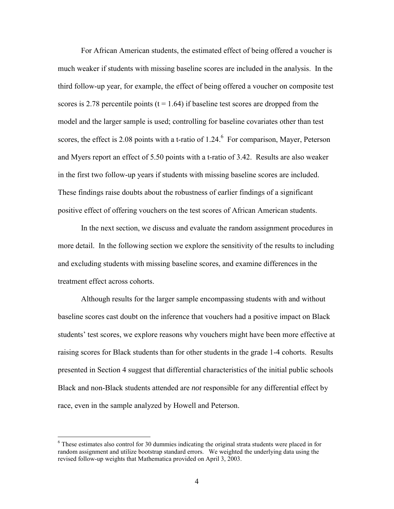For African American students, the estimated effect of being offered a voucher is much weaker if students with missing baseline scores are included in the analysis. In the third follow-up year, for example, the effect of being offered a voucher on composite test scores is 2.78 percentile points  $(t = 1.64)$  if baseline test scores are dropped from the model and the larger sample is used; controlling for baseline covariates other than test scores,the effect is 2.08 points with a t-ratio of  $1.24<sup>6</sup>$  For comparison, Mayer, Peterson and Myers report an effect of 5.50 points with a t-ratio of 3.42. Results are also weaker in the first two follow-up years if students with missing baseline scores are included. These findings raise doubts about the robustness of earlier findings of a significant positive effect of offering vouchers on the test scores of African American students.

In the next section, we discuss and evaluate the random assignment procedures in more detail. In the following section we explore the sensitivity of the results to including and excluding students with missing baseline scores, and examine differences in the treatment effect across cohorts.

Although results for the larger sample encompassing students with and without baseline scores cast doubt on the inference that vouchers had a positive impact on Black students' test scores, we explore reasons why vouchers might have been more effective at raising scores for Black students than for other students in the grade 1-4 cohorts. Results presented in Section 4 suggest that differential characteristics of the initial public schools Black and non-Black students attended are *not* responsible for any differential effect by race, even in the sample analyzed by Howell and Peterson.

<span id="page-5-0"></span><sup>&</sup>lt;sup>6</sup> These estimates also control for 30 dummies indicating the original strata students were placed in for random assignment and utilize bootstrap standard errors. We weighted the underlying data using the revised follow-up weights that Mathematica provided on April 3, 2003.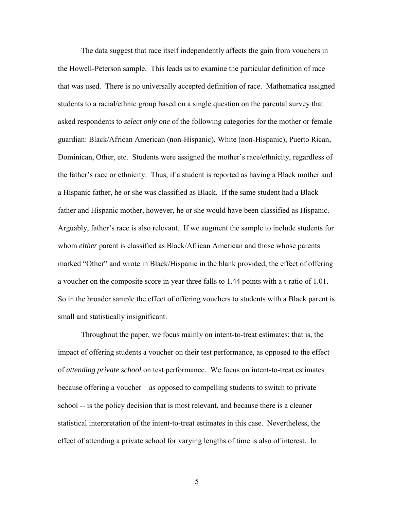The data suggest that race itself independently affects the gain from vouchers in the Howell-Peterson sample. This leads us to examine the particular definition of race that was used. There is no universally accepted definition of race. Mathematica assigned students to a racial/ethnic group based on a single question on the parental survey that asked respondents to *select only one* of the following categories for the mother or female guardian: Black/African American (non-Hispanic), White (non-Hispanic), Puerto Rican, Dominican, Other, etc. Students were assigned the mother's race/ethnicity, regardless of the father's race or ethnicity. Thus, if a student is reported as having a Black mother and a Hispanic father, he or she was classified as Black. If the same student had a Black father and Hispanic mother, however, he or she would have been classified as Hispanic. Arguably, father's race is also relevant. If we augment the sample to include students for whom *either* parent is classified as Black/African American and those whose parents marked "Other" and wrote in Black/Hispanic in the blank provided, the effect of offering a voucher on the composite score in year three falls to 1.44 points with a t-ratio of 1.01. So in the broader sample the effect of offering vouchers to students with a Black parent is small and statistically insignificant.

Throughout the paper, we focus mainly on intent-to-treat estimates; that is, the impact of offering students a voucher on their test performance, as opposed to the effect of *attending private school* on test performance. We focus on intent-to-treat estimates because offering a voucher  $-$  as opposed to compelling students to switch to private school -- is the policy decision that is most relevant, and because there is a cleaner statistical interpretation of the intent-to-treat estimates in this case. Nevertheless, the effect of attending a private school for varying lengths of time is also of interest. In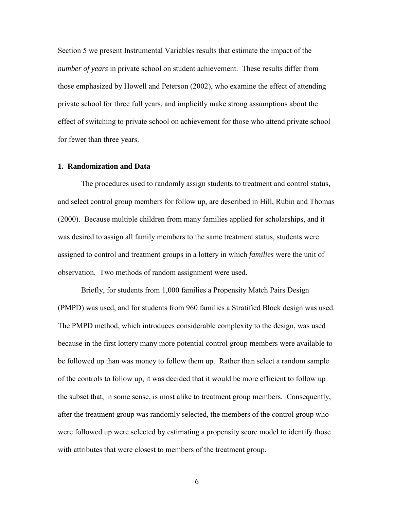Section 5 we present Instrumental Variables results that estimate the impact of the *number of years* in private school on student achievement. These results differ from those emphasized by Howell and Peterson (2002), who examine the effect of attending private school for three full years, and implicitly make strong assumptions about the effect of switching to private school on achievement for those who attend private school for fewer than three years.

# **1. Randomization and Data**

The procedures used to randomly assign students to treatment and control status, and select control group members for follow up, are described in Hill, Rubin and Thomas (2000). Because multiple children from many families applied for scholarships, and it was desired to assign all family members to the same treatment status, students were assigned to control and treatment groups in a lottery in which *families* were the unit of observation. Two methods of random assignment were used.

Briefly, for students from 1,000 families a Propensity Match Pairs Design (PMPD) was used, and for students from 960 families a Stratified Block design was used. The PMPD method, which introduces considerable complexity to the design, was used because in the first lottery many more potential control group members were available to be followed up than was money to follow them up. Rather than select a random sample of the controls to follow up, it was decided that it would be more efficient to follow up the subset that, in some sense, is most alike to treatment group members. Consequently, after the treatment group was randomly selected, the members of the control group who were followed up were selected by estimating a propensity score model to identify those with attributes that were closest to members of the treatment group.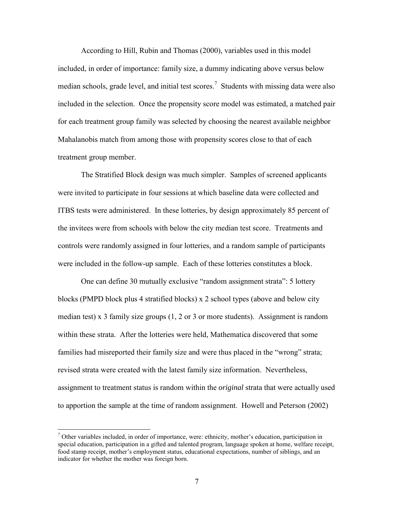According to Hill, Rubin and Thomas (2000), variables used in this model included, in order of importance: family size, a dummy indicating above versus below median schools, grade level, and initial test scores.<sup>[7](#page-8-0)</sup> Students with missing data were also included in the selection. Once the propensity score model was estimated, a matched pair for each treatment group family was selected by choosing the nearest available neighbor Mahalanobis match from among those with propensity scores close to that of each treatment group member.

The Stratified Block design was much simpler. Samples of screened applicants were invited to participate in four sessions at which baseline data were collected and ITBS tests were administered. In these lotteries, by design approximately 85 percent of the invitees were from schools with below the city median test score. Treatments and controls were randomly assigned in four lotteries, and a random sample of participants were included in the follow-up sample. Each of these lotteries constitutes a block.

One can define 30 mutually exclusive "random assignment strata": 5 lottery blocks (PMPD block plus 4 stratified blocks) x 2 school types (above and below city median test) x 3 family size groups (1, 2 or 3 or more students). Assignment is random within these strata. After the lotteries were held, Mathematica discovered that some families had misreported their family size and were thus placed in the "wrong" strata; revised strata were created with the latest family size information. Nevertheless, assignment to treatment status is random within the *original* strata that were actually used to apportion the sample at the time of random assignment. Howell and Peterson (2002)

<span id="page-8-0"></span> $<sup>7</sup>$  Other variables included, in order of importance, were: ethnicity, mother's education, participation in</sup> special education, participation in a gifted and talented program, language spoken at home, welfare receipt, food stamp receipt, mother's employment status, educational expectations, number of siblings, and an indicator for whether the mother was foreign born.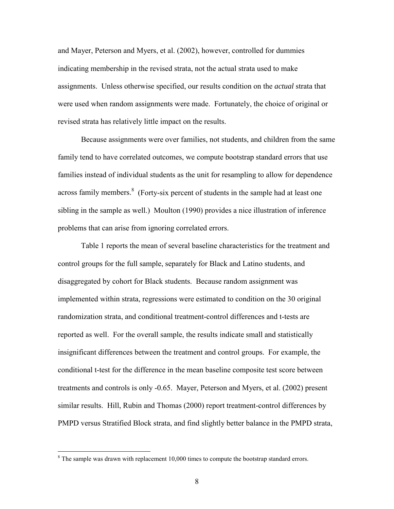and Mayer, Peterson and Myers, et al. (2002), however, controlled for dummies indicating membership in the revised strata, not the actual strata used to make assignments. Unless otherwise specified, our results condition on the *actual* strata that were used when random assignments were made. Fortunately, the choice of original or revised strata has relatively little impact on the results.

Because assignments were over families, not students, and children from the same family tend to have correlated outcomes, we compute bootstrap standard errors that use families instead of individual students as the unit for resampling to allow for dependence across family members. $8 \times 10^{-1}$  $8 \times 10^{-1}$  (Forty-six percent of students in the sample had at least one sibling in the sample as well.) Moulton (1990) provides a nice illustration of inference problems that can arise from ignoring correlated errors.

Table 1 reports the mean of several baseline characteristics for the treatment and control groups for the full sample, separately for Black and Latino students, and disaggregated by cohort for Black students. Because random assignment was implemented within strata, regressions were estimated to condition on the 30 original randomization strata, and conditional treatment-control differences and t-tests are reported as well. For the overall sample, the results indicate small and statistically insignificant differences between the treatment and control groups. For example, the conditional t-test for the difference in the mean baseline composite test score between treatments and controls is only -0.65. Mayer, Peterson and Myers, et al. (2002) present similar results. Hill, Rubin and Thomas (2000) report treatment-control differences by PMPD versus Stratified Block strata, and find slightly better balance in the PMPD strata,

<span id="page-9-0"></span> $8$  The sample was drawn with replacement 10,000 times to compute the bootstrap standard errors.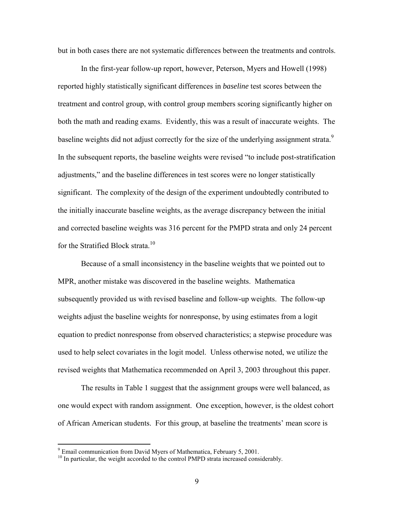but in both cases there are not systematic differences between the treatments and controls.

In the first-year follow-up report, however, Peterson, Myers and Howell (1998) reported highly statistically significant differences in *baseline* test scores between the treatment and control group, with control group members scoring significantly higher on both the math and reading exams. Evidently, this was a result of inaccurate weights. The baseline weights did not adjust correctly for the size of the underlying assignment strata.<sup>[9](#page-10-0)</sup> In the subsequent reports, the baseline weights were revised "to include post-stratification adjustments," and the baseline differences in test scores were no longer statistically significant. The complexity of the design of the experiment undoubtedly contributed to the initially inaccurate baseline weights, as the average discrepancy between the initial and corrected baseline weights was 316 percent for the PMPD strata and only 24 percent for the Stratified Block strata.<sup>10</sup>

Because of a small inconsistency in the baseline weights that we pointed out to MPR, another mistake was discovered in the baseline weights. Mathematica subsequently provided us with revised baseline and follow-up weights. The follow-up weights adjust the baseline weights for nonresponse, by using estimates from a logit equation to predict nonresponse from observed characteristics; a stepwise procedure was used to help select covariates in the logit model. Unless otherwise noted, we utilize the revised weights that Mathematica recommended on April 3, 2003 throughout this paper.

The results in Table 1 suggest that the assignment groups were well balanced, as one would expect with random assignment. One exception, however, is the oldest cohort of African American students. For this group, at baseline the treatments' mean score is

<span id="page-10-0"></span> $9^9$  Email communication from David Myers of Mathematica, February 5, 2001.

<span id="page-10-1"></span><sup>&</sup>lt;sup>10</sup> In particular, the weight accorded to the control PMPD strata increased considerably.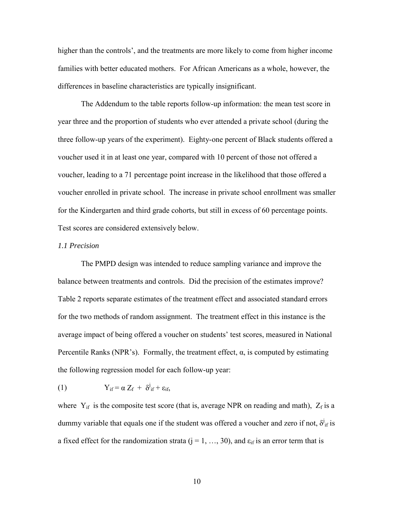higher than the controls', and the treatments are more likely to come from higher income families with better educated mothers. For African Americans as a whole, however, the differences in baseline characteristics are typically insignificant.

The Addendum to the table reports follow-up information: the mean test score in year three and the proportion of students who ever attended a private school (during the three follow-up years of the experiment). Eighty-one percent of Black students offered a voucher used it in at least one year, compared with 10 percent of those not offered a voucher, leading to a 71 percentage point increase in the likelihood that those offered a voucher enrolled in private school. The increase in private school enrollment was smaller for the Kindergarten and third grade cohorts, but still in excess of 60 percentage points. Test scores are considered extensively below.

#### *1.1 Precision*

The PMPD design was intended to reduce sampling variance and improve the balance between treatments and controls. Did the precision of the estimates improve? Table 2 reports separate estimates of the treatment effect and associated standard errors for the two methods of random assignment. The treatment effect in this instance is the average impact of being offered a voucher on students' test scores, measured in National Percentile Ranks (NPR's). Formally, the treatment effect,  $\alpha$ , is computed by estimating the following regression model for each follow-up year:

(1) 
$$
Y_{if} = \alpha Z_f + \delta^j_{if} + \varepsilon_{if},
$$

where  $Y_{if}$  is the composite test score (that is, average NPR on reading and math),  $Z_f$  is a dummy variable that equals one if the student was offered a voucher and zero if not,  $\delta^j_{if}$  is a fixed effect for the randomization strata ( $j = 1, ..., 30$ ), and  $\varepsilon_{if}$  is an error term that is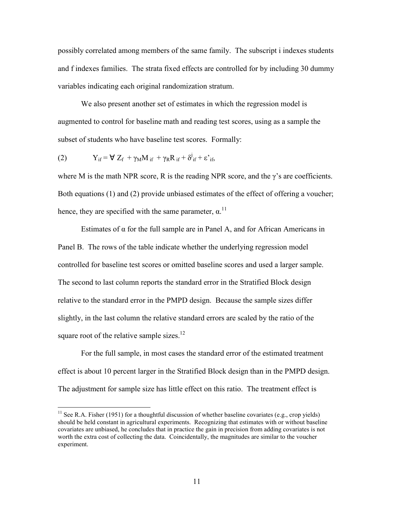possibly correlated among members of the same family. The subscript i indexes students and f indexes families. The strata fixed effects are controlled for by including 30 dummy variables indicating each original randomization stratum.

We also present another set of estimates in which the regression model is augmented to control for baseline math and reading test scores, using as a sample the subset of students who have baseline test scores. Formally:

(2) 
$$
Y_{if} = \forall Z_f + \gamma_M M_{if} + \gamma_R R_{if} + \delta^j_{if} + \varepsilon^j_{if},
$$

<span id="page-12-0"></span> $\overline{a}$ 

where M is the math NPR score, R is the reading NPR score, and the  $\gamma$ 's are coefficients. Both equations (1) and (2) provide unbiased estimates of the effect of offering a voucher; hence, they are specified with the same parameter,  $\alpha$ <sup>11</sup>

Estimates of  $\alpha$  for the full sample are in Panel A, and for African Americans in Panel B. The rows of the table indicate whether the underlying regression model controlled for baseline test scores or omitted baseline scores and used a larger sample. The second to last column reports the standard error in the Stratified Block design relative to the standard error in the PMPD design. Because the sample sizes differ slightly, in the last column the relative standard errors are scaled by the ratio of the square root of the relative sample sizes. $12$ 

For the full sample, in most cases the standard error of the estimated treatment effect is about 10 percent larger in the Stratified Block design than in the PMPD design. The adjustment for sample size has little effect on this ratio. The treatment effect is

<span id="page-12-1"></span><sup>&</sup>lt;sup>11</sup> See R.A. Fisher (1951) for a thoughtful discussion of whether baseline covariates (e.g., crop yields) should be held constant in agricultural experiments. Recognizing that estimates with or without baseline covariates are unbiased, he concludes that in practice the gain in precision from adding covariates is not worth the extra cost of collecting the data. Coincidentally, the magnitudes are similar to the voucher experiment.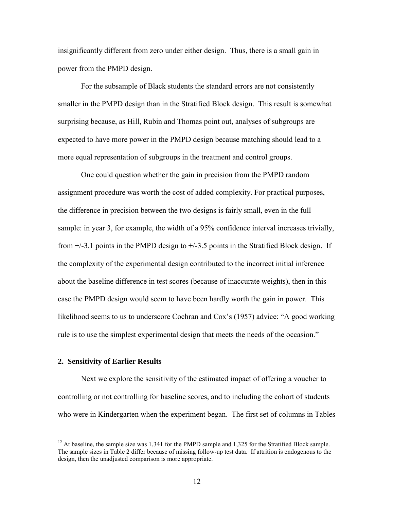insignificantly different from zero under either design. Thus, there is a small gain in power from the PMPD design.

For the subsample of Black students the standard errors are not consistently smaller in the PMPD design than in the Stratified Block design. This result is somewhat surprising because, as Hill, Rubin and Thomas point out, analyses of subgroups are expected to have more power in the PMPD design because matching should lead to a more equal representation of subgroups in the treatment and control groups.

One could question whether the gain in precision from the PMPD random assignment procedure was worth the cost of added complexity. For practical purposes, the difference in precision between the two designs is fairly small, even in the full sample: in year 3, for example, the width of a 95% confidence interval increases trivially, from  $+/3.1$  points in the PMPD design to  $+/3.5$  points in the Stratified Block design. If the complexity of the experimental design contributed to the incorrect initial inference about the baseline difference in test scores (because of inaccurate weights), then in this case the PMPD design would seem to have been hardly worth the gain in power. This likelihood seems to us to underscore Cochran and Cox's (1957) advice: "A good working rule is to use the simplest experimental design that meets the needs of the occasion."

#### **2. Sensitivity of Earlier Results**

 Next we explore the sensitivity of the estimated impact of offering a voucher to controlling or not controlling for baseline scores, and to including the cohort of students who were in Kindergarten when the experiment began. The first set of columns in Tables

<sup>&</sup>lt;sup>12</sup> At baseline, the sample size was 1,341 for the PMPD sample and 1,325 for the Stratified Block sample. The sample sizes in Table 2 differ because of missing follow-up test data. If attrition is endogenous to the design, then the unadjusted comparison is more appropriate.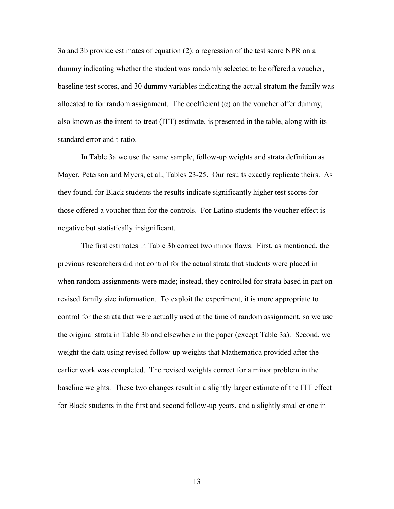3a and 3b provide estimates of equation (2): a regression of the test score NPR on a dummy indicating whether the student was randomly selected to be offered a voucher, baseline test scores, and 30 dummy variables indicating the actual stratum the family was allocated to for random assignment. The coefficient  $(\alpha)$  on the voucher offer dummy, also known as the intent-to-treat (ITT) estimate, is presented in the table, along with its standard error and t-ratio.

 In Table 3a we use the same sample, follow-up weights and strata definition as Mayer, Peterson and Myers, et al., Tables 23-25. Our results exactly replicate theirs. As they found, for Black students the results indicate significantly higher test scores for those offered a voucher than for the controls. For Latino students the voucher effect is negative but statistically insignificant.

 The first estimates in Table 3b correct two minor flaws. First, as mentioned, the previous researchers did not control for the actual strata that students were placed in when random assignments were made; instead, they controlled for strata based in part on revised family size information. To exploit the experiment, it is more appropriate to control for the strata that were actually used at the time of random assignment, so we use the original strata in Table 3b and elsewhere in the paper (except Table 3a). Second, we weight the data using revised follow-up weights that Mathematica provided after the earlier work was completed. The revised weights correct for a minor problem in the baseline weights. These two changes result in a slightly larger estimate of the ITT effect for Black students in the first and second follow-up years, and a slightly smaller one in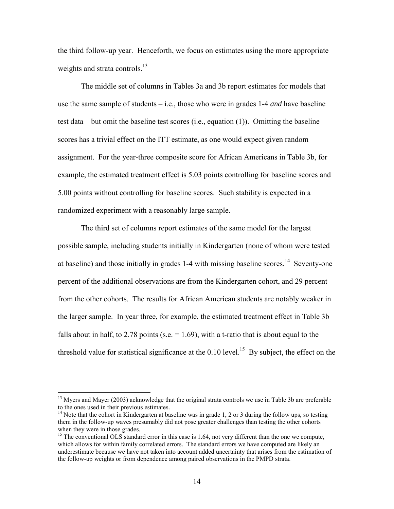the third follow-up year. Henceforth, we focus on estimates using the more appropriate weights and strata controls.<sup>13</sup>

 The middle set of columns in Tables 3a and 3b report estimates for models that use the same sample of students  $-$  i.e., those who were in grades 1-4 *and* have baseline test data  $-$  but omit the baseline test scores (i.e., equation (1)). Omitting the baseline scores has a trivial effect on the ITT estimate, as one would expect given random assignment. For the year-three composite score for African Americans in Table 3b, for example, the estimated treatment effect is 5.03 points controlling for baseline scores and 5.00 points without controlling for baseline scores. Such stability is expected in a randomized experiment with a reasonably large sample.

 The third set of columns report estimates of the same model for t[he l](#page-15-0)argest possible sample, including students initially in Kindergarten (none of whom were tested at baseline) and those initially in grades  $1-4$  with missing baseline scores.<sup>14</sup> Seventy-one percent of the additional observations are from the Kindergarten cohort, and 29 percent from the other cohorts. The results for African American students are notably weaker in the larger sample. In year three, for example, the estimate[d tr](#page-15-1)eatment effect in Table 3b falls about in half, to 2.78 points (s.e.  $= 1.69$ ), with a t-ratio that is about equal to the threshold value for statistical significance at the  $0.10$  level.<sup>15</sup> By subject, the effect on the

<sup>&</sup>lt;sup>13</sup> Myers and Mayer (2003) acknowledge that the original strata controls we use in Table 3b are preferable to the ones used in their previous estimates.

<span id="page-15-0"></span><sup>&</sup>lt;sup>14</sup> Note that the cohort in Kindergarten at baseline was in grade 1, 2 or 3 during the follow ups, so testing them in the follow-up waves presumably did not pose greater challenges than testing the other cohorts when they were in those grades.

<span id="page-15-1"></span><sup>&</sup>lt;sup>15</sup> The conventional OLS standard error in this case is 1.64, not very different than the one we compute, which allows for within family correlated errors. The standard errors we have computed are likely an underestimate because we have not taken into account added uncertainty that arises from the estimation of the follow-up weights or from dependence among paired observations in the PMPD strata.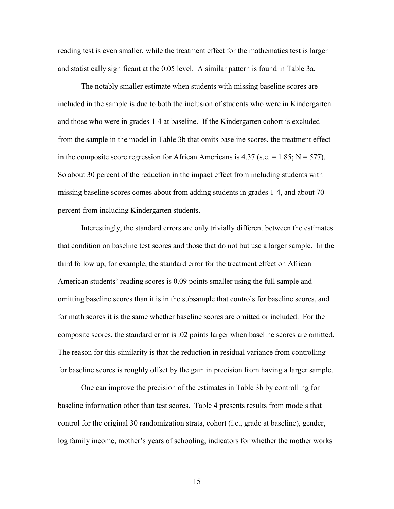reading test is even smaller, while the treatment effect for the mathematics test is larger and statistically significant at the 0.05 level. A similar pattern is found in Table 3a.

 The notably smaller estimate when students with missing baseline scores are included in the sample is due to both the inclusion of students who were in Kindergarten and those who were in grades 1-4 at baseline. If the Kindergarten cohort is excluded from the sample in the model in Table 3b that omits baseline scores, the treatment effect in the composite score regression for African Americans is  $4.37$  (s.e. = 1.85; N = 577). So about 30 percent of the reduction in the impact effect from including students with missing baseline scores comes about from adding students in grades 1-4, and about 70 percent from including Kindergarten students.

 Interestingly, the standard errors are only trivially different between the estimates that condition on baseline test scores and those that do not but use a larger sample. In the third follow up, for example, the standard error for the treatment effect on African American students' reading scores is 0.09 points smaller using the full sample and omitting baseline scores than it is in the subsample that controls for baseline scores, and for math scores it is the same whether baseline scores are omitted or included. For the composite scores, the standard error is .02 points larger when baseline scores are omitted. The reason for this similarity is that the reduction in residual variance from controlling for baseline scores is roughly offset by the gain in precision from having a larger sample.

One can improve the precision of the estimates in Table 3b by controlling for baseline information other than test scores. Table 4 presents results from models that control for the original 30 randomization strata, cohort (i.e., grade at baseline), gender, log family income, mother's years of schooling, indicators for whether the mother works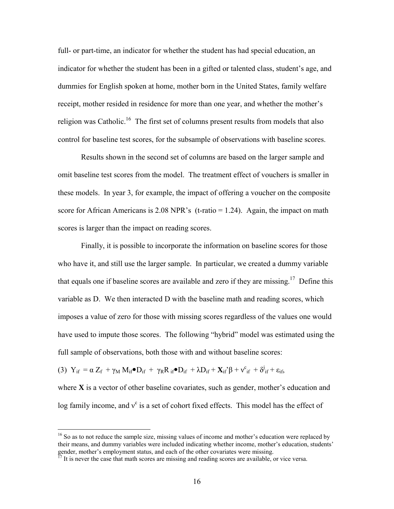full- or part-time, an i[ndi](#page-17-0)cator for whether the student has had special education, an indicator for whether the student has been in a gifted or talented class, student's age, and dummies for English spoken at home, mother born in the United States, family welfare receipt, mother resided in residence for more than one year, and whether the mother's religion was Catholic.<sup>16</sup> The first set of columns present results from models that also control for baseline test scores, for the subsample of observations with baseline scores.

Results shown in the second set of columns are based on the larger sample and omit baseline test scores from the model. The treatment effect of vouchers is smaller in these models. In year 3, for example, the impact of offering a voucher on the composite score for African Americans is  $2.08$  NPR's (t-ratio = 1.24). Again, the im[pac](#page-17-1)t on math scores is larger than the impact on reading scores.

Finally, it is possible to incorporate the information on baseline scores for those who have it, and still use the larger sample. In particular, we created a dummy variable that equals one if baseline scores are available and zero if they are missing.<sup>17</sup> Define this variable as D. We then interacted D with the baseline math and reading scores, which imposes a value of zero for those with missing scores regardless of the values one would have used to impute those scores. The following "hybrid" model was estimated using the full sample of observations, both those with and without baseline scores:

(3) 
$$
Y_{if} = \alpha Z_f + \gamma_M M_{if} \bullet D_{if} + \gamma_R R_{if} \bullet D_{if} + \lambda D_{if} + \mathbf{X}_{if} \beta + v^c_{if} + \delta^j_{if} + \epsilon_{if},
$$

 $\overline{a}$ 

where  $X$  is a vector of other baseline covariates, such as gender, mother's education and log family income, and  $v^c$  is a set of cohort fixed effects. This model has the effect of

<span id="page-17-0"></span> $16$  So as to not reduce the sample size, missing values of income and mother's education were replaced by their means, and dummy variables were included indicating whether income, mother's education, students' gender, mother's employment status, and each of the other covariates were missing.

<span id="page-17-1"></span> $<sup>17</sup>$  It is never the case that math scores are missing and reading scores are available, or vice versa.</sup>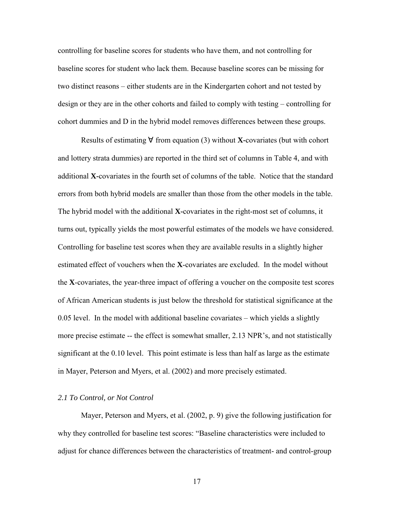controlling for baseline scores for students who have them, and not controlling for baseline scores for student who lack them. Because baseline scores can be missing for two distinct reasons – either students are in the Kindergarten cohort and not tested by design or they are in the other cohorts and failed to comply with testing – controlling for cohort dummies and D in the hybrid model removes differences between these groups.

Results of estimating ∀ from equation (3) without **X-**covariates (but with cohort and lottery strata dummies) are reported in the third set of columns in Table 4, and with additional **X-**covariates in the fourth set of columns of the table. Notice that the standard errors from both hybrid models are smaller than those from the other models in the table. The hybrid model with the additional **X-**covariates in the right-most set of columns, it turns out, typically yields the most powerful estimates of the models we have considered. Controlling for baseline test scores when they are available results in a slightly higher estimated effect of vouchers when the **X**-covariates are excluded. In the model without the **X**-covariates, the year-three impact of offering a voucher on the composite test scores of African American students is just below the threshold for statistical significance at the  $0.05$  level. In the model with additional baseline covariates – which yields a slightly more precise estimate -- the effect is somewhat smaller, 2.13 NPR's, and not statistically significant at the 0.10 level. This point estimate is less than half as large as the estimate in Mayer, Peterson and Myers, et al. (2002) and more precisely estimated.

### *2.1 To Control, or Not Control*

Mayer, Peterson and Myers, et al. (2002, p. 9) give the following justification for why they controlled for baseline test scores: "Baseline characteristics were included to adjust for chance differences between the characteristics of treatment- and control-group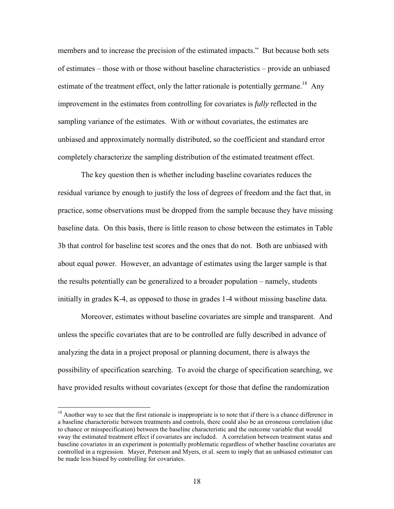members and to increase the precision of the estimated impacts." But because [bo](#page-19-0)th sets of estimates – those with or those without baseline characteristics – provide an unbiased estimate of the treatment effect, only the latter rationale is potentially germane.<sup>18</sup> Any improvement in the estimates from controlling for covariates is *fully* reflected in the sampling variance of the estimates. With or without covariates, the estimates are unbiased and approximately normally distributed, so the coefficient and standard error completely characterize the sampling distribution of the estimated treatment effect.

The key question then is whether including baseline covariates reduces the residual variance by enough to justify the loss of degrees of freedom and the fact that, in practice, some observations must be dropped from the sample because they have missing baseline data. On this basis, there is little reason to chose between the estimates in Table 3b that control for baseline test scores and the ones that do not. Both are unbiased with about equal power. However, an advantage of estimates using the larger sample is that the results potentially can be generalized to a broader population  $-$  namely, students initially in grades K-4, as opposed to those in grades 1-4 without missing baseline data.

Moreover, estimates without baseline covariates are simple and transparent. And unless the specific covariates that are to be controlled are fully described in advance of analyzing the data in a project proposal or planning document, there is always the possibility of specification searching. To avoid the charge of specification searching, we have provided results without covariates (except for those that define the randomization

<span id="page-19-0"></span><sup>&</sup>lt;sup>18</sup> Another way to see that the first rationale is inappropriate is to note that if there is a chance difference in a baseline characteristic between treatments and controls, there could also be an erroneous correlation (due to chance or misspecification) between the baseline characteristic and the outcome variable that would sway the estimated treatment effect if covariates are included. A correlation between treatment status and baseline covariates in an experiment is potentially problematic regardless of whether baseline covariates are controlled in a regression. Mayer, Peterson and Myers, et al. seem to imply that an unbiased estimator can be made less biased by controlling for covariates.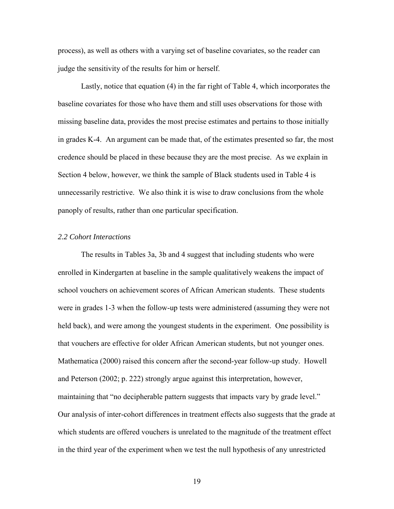process), as well as others with a varying set of baseline covariates, so the reader can judge the sensitivity of the results for him or herself.

Lastly, notice that equation (4) in the far right of Table 4, which incorporates the baseline covariates for those who have them and still uses observations for those with missing baseline data, provides the most precise estimates and pertains to those initially in grades K-4. An argument can be made that, of the estimates presented so far, the most credence should be placed in these because they are the most precise. As we explain in Section 4 below, however, we think the sample of Black students used in Table 4 is unnecessarily restrictive. We also think it is wise to draw conclusions from the whole panoply of results, rather than one particular specification.

# *2.2 Cohort Interactions*

The results in Tables 3a, 3b and 4 suggest that including students who were enrolled in Kindergarten at baseline in the sample qualitatively weakens the impact of school vouchers on achievement scores of African American students. These students were in grades 1-3 when the follow-up tests were administered (assuming they were not held back), and were among the youngest students in the experiment. One possibility is that vouchers are effective for older African American students, but not younger ones. Mathematica (2000) raised this concern after the second-year follow-up study. Howell and Peterson (2002; p. 222) strongly argue against this interpretation, however, maintaining that "no decipherable pattern suggests that impacts vary by grade level." Our analysis of inter-cohort differences in treatment effects also suggests that the grade at which students are offered vouchers is unrelated to the magnitude of the treatment effect in the third year of the experiment when we test the null hypothesis of any unrestricted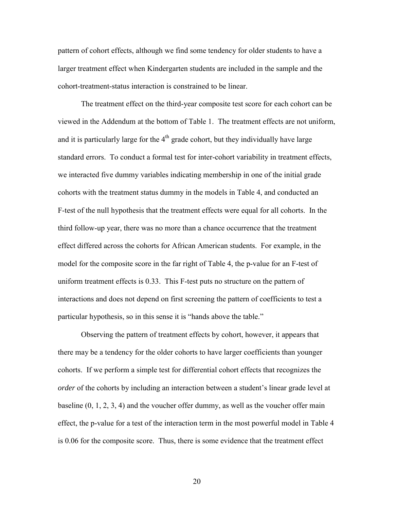pattern of cohort effects, although we find some tendency for older students to have a larger treatment effect when Kindergarten students are included in the sample and the cohort-treatment-status interaction is constrained to be linear.

The treatment effect on the third-year composite test score for each cohort can be viewed in the Addendum at the bottom of Table 1. The treatment effects are not uniform, and it is particularly large for the  $4<sup>th</sup>$  grade cohort, but they individually have large standard errors. To conduct a formal test for inter-cohort variability in treatment effects, we interacted five dummy variables indicating membership in one of the initial grade cohorts with the treatment status dummy in the models in Table 4, and conducted an F-test of the null hypothesis that the treatment effects were equal for all cohorts. In the third follow-up year, there was no more than a chance occurrence that the treatment effect differed across the cohorts for African American students. For example, in the model for the composite score in the far right of Table 4, the p-value for an F-test of uniform treatment effects is 0.33. This F-test puts no structure on the pattern of interactions and does not depend on first screening the pattern of coefficients to test a particular hypothesis, so in this sense it is "hands above the table."

Observing the pattern of treatment effects by cohort, however, it appears that there may be a tendency for the older cohorts to have larger coefficients than younger cohorts. If we perform a simple test for differential cohort effects that recognizes the *order* of the cohorts by including an interaction between a student's linear grade level at baseline  $(0, 1, 2, 3, 4)$  and the voucher offer dummy, as well as the voucher offer main effect, the p-value for a test of the interaction term in the most powerful model in Table 4 is 0.06 for the composite score.Thus, there is some evidence that the treatment effect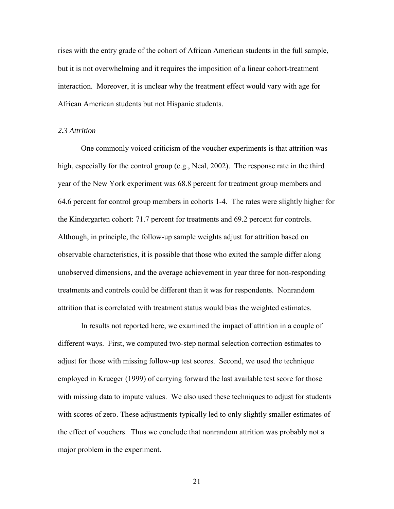rises with the entry grade of the cohort of African American students in the full sample, but it is not overwhelming and it requires the imposition of a linear cohort-treatment interaction. Moreover, it is unclear why the treatment effect would vary with age for African American students but not Hispanic students.

# *2.3 Attrition*

 One commonly voiced criticism of the voucher experiments is that attrition was high, especially for the control group (e.g., Neal, 2002). The response rate in the third year of the New York experiment was 68.8 percent for treatment group members and 64.6 percent for control group members in cohorts 1-4. The rates were slightly higher for the Kindergarten cohort: 71.7 percent for treatments and 69.2 percent for controls. Although, in principle, the follow-up sample weights adjust for attrition based on observable characteristics, it is possible that those who exited the sample differ along unobserved dimensions, and the average achievement in year three for non-responding treatments and controls could be different than it was for respondents. Nonrandom attrition that is correlated with treatment status would bias the weighted estimates.

In results not reported here, we examined the impact of attrition in a couple of different ways. First, we computed two-step normal selection correction estimates to adjust for those with missing follow-up test scores. Second, we used the technique employed in Krueger (1999) of carrying forward the last available test score for those with missing data to impute values. We also used these techniques to adjust for students with scores of zero. These adjustments typically led to only slightly smaller estimates of the effect of vouchers. Thus we conclude that nonrandom attrition was probably not a major problem in the experiment.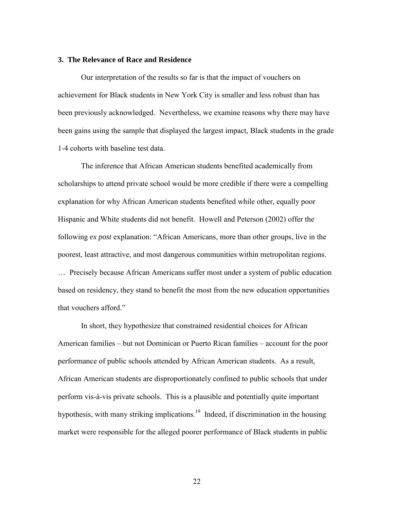#### **3. The Relevance of Race and Residence**

 Our interpretation of the results so far is that the impact of vouchers on achievement for Black students in New York City is smaller and less robust than has been previously acknowledged. Nevertheless, we examine reasons why there may have been gains using the sample that displayed the largest impact, Black students in the grade 1-4 cohorts with baseline test data.

The inference that African American students benefited academically from scholarships to attend private school would be more credible if there were a compelling explanation for why African American students benefited while other, equally poor Hispanic and White students did not benefit. Howell and Peterson (2002) offer the following *ex post* explanation: "African Americans, more than other groups, live in the poorest, least attractive, and most dangerous communities within metropolitan regions. **EXECUTE:** Precisely because African Americans suffer most under a system of public education based on residency, they stand to benefit the most from the new education opportunities that vouchers afford."

 In short, they hypothesize that constrained residential choices for African American families – but not Dominican or Puerto Rican families – account for the poor performance of public schools attended by African American students. As a result, African American students are disproportionately confined to public schools that under perform vis-‡-vis private schools. This is a plausible and potentially quite important hypothesis, with many striking implications.<sup>19</sup> Indeed, if discrimination in the housing market were responsible for the alleged poorer performance of Black students in public

<u>22</u>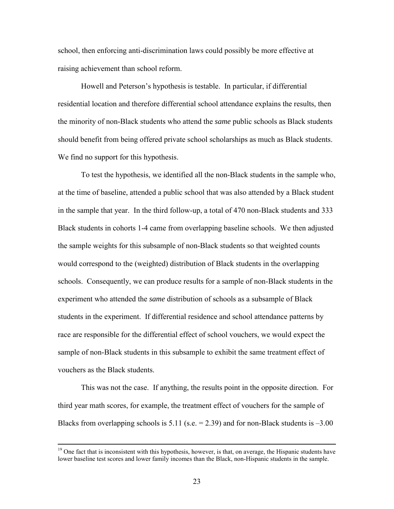school, then enforcing anti-discrimination laws could possibly be more effective at raising achievement than school reform.

Howell and Peterson's hypothesis is testable. In particular, if differential residential location and therefore differential school attendance explains the results, then the minority of non-Black students who attend the *same* public schools as Black students should benefit from being offered private school scholarships as much as Black students. We find no support for this hypothesis.

 To test the hypothesis, we identified all the non-Black students in the sample who, at the time of baseline, attended a public school that was also attended by a Black student in the sample that year. In the third follow-up, a total of 470 non-Black students and 333 Black students in cohorts 1-4 came from overlapping baseline schools. We then adjusted the sample weights for this subsample of non-Black students so that weighted counts would correspond to the (weighted) distribution of Black students in the overlapping schools. Consequently, we can produce results for a sample of non-Black students in the experiment who attended the *same* distribution of schools as a subsample of Black students in the experiment. If differential residence and school attendance patterns by race are responsible for the differential effect of school vouchers, we would expect the sample of non-Black students in this subsample to exhibit the same treatment effect of vouchers as the Black students.

 This was not the case. If anything, the results point in the opposite direction. For third year math scores, for example, the treatment effect of vouchers for the sample of Blacks from overlapping schools is  $5.11$  (s.e.  $= 2.39$ ) and for non-Black students is  $-3.00$ 

<sup>&</sup>lt;sup>19</sup> One fact that is inconsistent with this hypothesis, however, is that, on average, the Hispanic students have lower baseline test scores and lower family incomes than the Black, non-Hispanic students in the sample.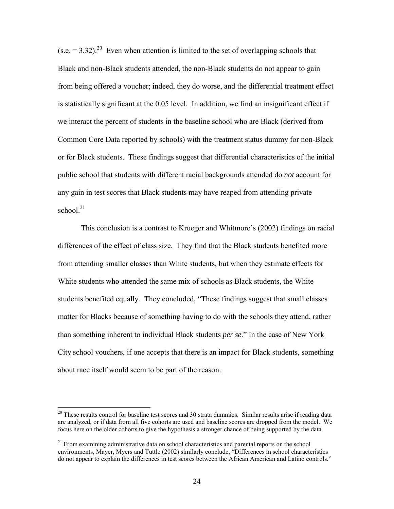$(s.e. = 3.32)$ <sup>20</sup> Even when attention is limited to the set of overlapping schools that Black and non-Black students attended, the non-Black students do not appear to gain from being offered a voucher; indeed, they do worse, and the differential treatment effect is statistically significant at the 0.05 level. In addition, we find an insignificant effect if we interact the percent of students in the baseline school who are Black (derived from Common Core Data reported by schools) with the treatment status dummy for non-Black or for Black students. These findings suggest that differential characteristics of the initial public school that students with different racial backgrounds attended do *not* account for any gain in test scores that Black students may have reaped from attending private school. $21$ 

This conclusion is a contrast to Krueger and Whitmore's (2002) findings on racial differences of the effect of class size. They find that the Black students benefited more from attending smaller classes than White students, but when they estimate effects for White students who attended the same mix of schools as Black students, the White students benefited equally. They concluded, "These findings suggest that small classes matter for Blacks because of something having to do with the schools they attend, rather than something inherent to individual Black students *per se*." In the case of New York City school vouchers, if one accepts that there is an impact for Black students, something about race itself would seem to be part of the reason.

<span id="page-25-0"></span> $20$  These results control for baseline test scores and 30 strata dummies. Similar results arise if reading data are analyzed, or if data from all five cohorts are used and baseline scores are dropped from the model. We focus here on the older cohorts to give the hypothesis a stronger chance of being supported by the data.

<span id="page-25-1"></span> $21$  From examining administrative data on school characteristics and parental reports on the school environments, Mayer, Myers and Tuttle (2002) similarly conclude, "Differences in school characteristics do not appear to explain the differences in test scores between the African American and Latino controls."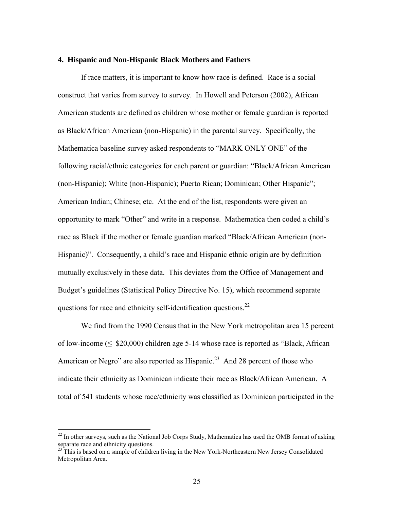#### **4. Hispanic and Non-Hispanic Black Mothers and Fathers**

If race matters, it is important to know how race is defined. Race is a social construct that varies from survey to survey. In Howell and Peterson (2002), African American students are defined as children whose mother or female guardian is reported as Black/African American (non-Hispanic) in the parental survey. Specifically, the Mathematica baseline survey asked respondents to "MARK ONLY ONE" of the following racial/ethnic categories for each parent or guardian: "Black/African American (non-Hispanic); White (non-Hispanic); Puerto Rican; Dominican; Other Hispanic"; American Indian; Chinese; etc. At the end of the list, respondents were given an opportunity to mark "Other" and write in a response. Mathematica then coded a child's race as Black if the mother or female guardian marked "Black/African American (non-Hispanic)". Consequently, a child's race and Hispanic ethnic origin are by definition mutually exclusively in these data. This deviates from the Office of Management and Budget's guidelines (Statistical Policy Directive No. 15), which recommend separate questions for race and ethnicity self-identification questions.<sup>22</sup>

We find from the 1990 Census that in the New York metropolitan area 15 percent of low-income ( $\leq$  \$20,000) children age 5-14 whose race is reported as "Black, African American or Negro" are also reported as Hispanic.<sup>23</sup> And 28 percent of those who indicate their ethnicity as Dominican indicate their race as Black/African American. A total of 541 students whose race/ethnicity was classified as Dominican participated in the

<span id="page-26-0"></span> $^{22}$  In other surveys, such as the National Job Corps Study, Mathematica has used the OMB format of asking separate race and ethnicity questions.

<span id="page-26-1"></span> $^{23}$  This is based on a sample of children living in the New York-Northeastern New Jersey Consolidated Metropolitan Area.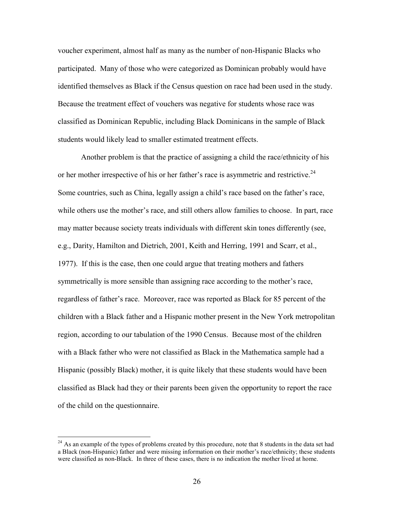voucher experiment, almost half as many as the number of non-Hispanic Blacks who participated. Many of those who were categorized as Dominican probably would have identified themselves as Black if the Census question on race had been used in the study. Because the treatment effect of vouchers was negative for students whose race was classified as Dominican Republic, including Black Dominicans in the sample of Black students would likely lead to smaller estimated treatment effects.

Another problem is that the practice of assigning a child the race/ethnicity of his or her mother irrespective of his or her father's race is asymmetric and restrictive.<sup>24</sup> Some countries, such as China, legally assign a child's race based on the father's race, while others use the mother's race, and still others allow families to choose. In part, race may matter because society treats individuals with different skin tones differently (see, e.g., Darity, Hamilton and Dietrich, 2001, Keith and Herring, 1991 and Scarr, et al., 1977). If this is the case, then one could argue that treating mothers and fathers symmetrically is more sensible than assigning race according to the mother's race, regardless of father's race. Moreover, race was reported as Black for 85 percent of the children with a Black father and a Hispanic mother present in the New York metropolitan region, according to our tabulation of the 1990 Census. Because most of the children with a Black father who were not classified as Black in the Mathematica sample had a Hispanic (possibly Black) mother, it is quite likely that these students would have been classified as Black had they or their parents been given the opportunity to report the race of the child on the questionnaire.

<span id="page-27-0"></span><sup>&</sup>lt;sup>24</sup> As an example of the types of problems created by this procedure, note that 8 students in the data set had a Black (non-Hispanic) father and were missing information on their mother's race/ethnicity; these students were classified as non-Black. In three of these cases, there is no indication the mother lived at home.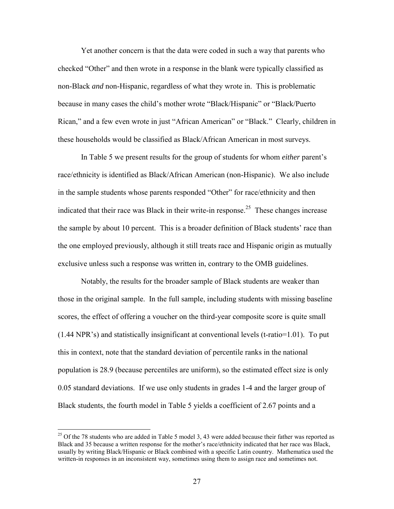Yet another concern is that the data were coded in such a way that parents who checked "Other" and then wrote in a response in the blank were typically classified as non-Black *and* non-Hispanic, regardless of what they wrote in. This is problematic because in many cases the child's mother wrote "Black/Hispanic" or "Black/Puerto" Rican," and a few even wrote in just "African American" or "Black." Clearly, children in these households would be classified as Black/African American in most surveys.

In Table 5 we present results for the group of students for whom *either* parent's race/ethnicity is identified as Black/African American (non-Hispanic). We also include in the sample students whose parents responded "Other" for race/ethnicity and then indicated that their race was Black in their write-in response.<sup>25</sup> These changes increase the sample by about 10 percent. This is a broader definition of Black students' race than the one employed previously, although it still treats race and Hispanic origin as mutually exclusive unless such a response was written in, contrary to the OMB guidelines.

Notably, the results for the broader sample of Black students are weaker than those in the original sample. In the full sample, including students with missing baseline scores, the effect of offering a voucher on the third-year composite score is quite small  $(1.44 \text{ NPR's})$  and statistically insignificant at conventional levels (t-ratio=1.01). To put this in context, note that the standard deviation of percentile ranks in the national population is 28.9 (because percentiles are uniform), so the estimated effect size is only 0.05 standard deviations. If we use only students in grades 1-4 and the larger group of Black students, the fourth model in Table 5 yields a coefficient of 2.67 points and a

<span id="page-28-0"></span> $^{25}$  Of the 78 students who are added in Table 5 model 3, 43 were added because their father was reported as Black and 35 because a written response for the mother's race/ethnicity indicated that her race was Black, usually by writing Black/Hispanic or Black combined with a specific Latin country. Mathematica used the written-in responses in an inconsistent way, sometimes using them to assign race and sometimes not.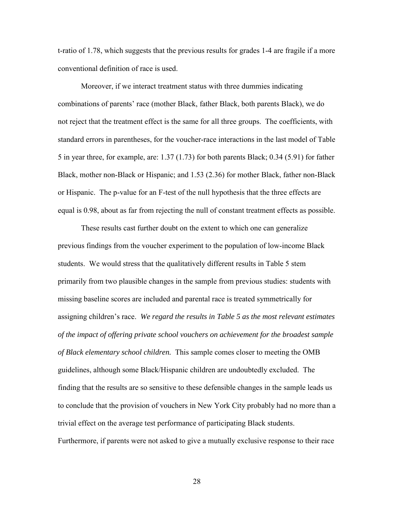t-ratio of 1.78, which suggests that the previous results for grades 1-4 are fragile if a more conventional definition of race is used.

Moreover, if we interact treatment status with three dummies indicating combinations of parents' race (mother Black, father Black, both parents Black), we do not reject that the treatment effect is the same for all three groups. The coefficients, with standard errors in parentheses, for the voucher-race interactions in the last model of Table 5 in year three, for example, are: 1.37 (1.73) for both parents Black; 0.34 (5.91) for father Black, mother non-Black or Hispanic; and 1.53 (2.36) for mother Black, father non-Black or Hispanic. The p-value for an F-test of the null hypothesis that the three effects are equal is 0.98, about as far from rejecting the null of constant treatment effects as possible.

These results cast further doubt on the extent to which one can generalize previous findings from the voucher experiment to the population of low-income Black students. We would stress that the qualitatively different results in Table 5 stem primarily from two plausible changes in the sample from previous studies: students with missing baseline scores are included and parental race is treated symmetrically for assigning children's race. We regard the results in Table 5 as the most relevant estimates *of the impact of offering private school vouchers on achievement for the broadest sample of Black elementary school children.* This sample comes closer to meeting the OMB guidelines, although some Black/Hispanic children are undoubtedly excluded. The finding that the results are so sensitive to these defensible changes in the sample leads us to conclude that the provision of vouchers in New York City probably had no more than a trivial effect on the average test performance of participating Black students. Furthermore, if parents were not asked to give a mutually exclusive response to their race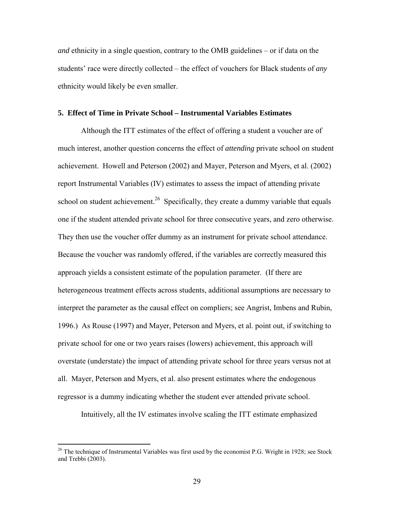*and* ethnicity in a single question, contrary to the OMB guidelines  $-$  or if data on the students' race were directly collected – the effect of vouchers for Black students of *any* ethnicity would likely be even smaller.

# **5. Effect of Time in Private School – Instrumental Variables Estimates**

Although the ITT estimates of the effect of offering a student a voucher are of much interest, another question concerns the effect of *attending* private school on student achievement. Howell and Peterson (2002) and Mayer, Peterson and Myers, et al. (2002) report Instrumental Variables (IV) estimates to assess the impact of attending private school on student achievement.<sup>26</sup> Specifically, they create a dummy variable that equals one if the student attended private school for three consecutive years, and zero otherwise. They then use the voucher offer dummy as an instrument for private school attendance. Because the voucher was randomly offered, if the variables are correctly measured this approach yields a consistent estimate of the population parameter. (If there are heterogeneous treatment effects across students, additional assumptions are necessary to interpret the parameter as the causal effect on compliers; see Angrist, Imbens and Rubin, 1996.) As Rouse (1997) and Mayer, Peterson and Myers, et al. point out, if switching to private school for one or two years raises (lowers) achievement, this approach will overstate (understate) the impact of attending private school for three years versus not at all. Mayer, Peterson and Myers, et al. also present estimates where the endogenous regressor is a dummy indicating whether the student ever attended private school.

Intuitively, all the IV estimates involve scaling the ITT estimate emphasized

<span id="page-30-0"></span><sup>&</sup>lt;sup>26</sup> The technique of Instrumental Variables was first used by the economist P.G. Wright in 1928; see Stock and Trebbi (2003).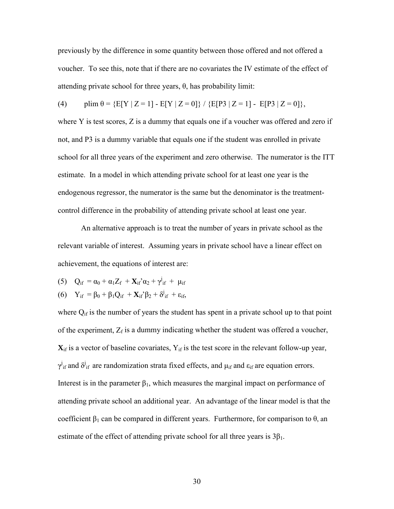previously by the difference in some quantity between those offered and not offered a voucher. To see this, note that if there are no covariates the IV estimate of the effect of attending private school for three years,  $\theta$ , has probability limit:

(4) 
$$
\text{plim } \theta = \{E[Y | Z = 1] - E[Y | Z = 0]\} / \{E[P3 | Z = 1] - E[P3 | Z = 0]\},
$$

where Y is test scores,  $Z$  is a dummy that equals one if a voucher was offered and zero if not, and P3 is a dummy variable that equals one if the student was enrolled in private school for all three years of the experiment and zero otherwise. The numerator is the ITT estimate. In a model in which attending private school for at least one year is the endogenous regressor, the numerator is the same but the denominator is the treatmentcontrol difference in the probability of attending private school at least one year.

An alternative approach is to treat the number of years in private school as the relevant variable of interest. Assuming years in private school have a linear effect on achievement, the equations of interest are:

$$
(5) \quad Q_{if} = \alpha_0 + \alpha_1 Z_f + \mathbf{X}_{if}^{\prime} \alpha_2 + \gamma^j_{if} + \mu_{if}
$$

(6) 
$$
Y_{if} = \beta_0 + \beta_1 Q_{if} + \mathbf{X}_{if}^{\prime} \beta_2 + \delta^j_{if} + \epsilon_{if},
$$

where  $Q_{if}$  is the number of years the student has spent in a private school up to that point of the experiment,  $Z_f$  is a dummy indicating whether the student was offered a voucher,  $\mathbf{X}_{\text{if}}$  is a vector of baseline covariates,  $Y_{\text{if}}$  is the test score in the relevant follow-up year,  $\gamma$ <sup>j</sup><sub>if</sub> and  $\delta$ <sup>j</sup><sub>if</sub> are randomization strata fixed effects, and  $\mu$ <sub>if</sub> and  $\varepsilon$ <sub>if</sub> are equation errors. Interest is in the parameter  $\beta_1$ , which measures the marginal impact on performance of attending private school an additional year. An advantage of the linear model is that the coefficient  $\beta_1$  can be compared in different years. Furthermore, for comparison to  $\theta$ , an estimate of the effect of attending private school for all three years is  $3\beta_1$ .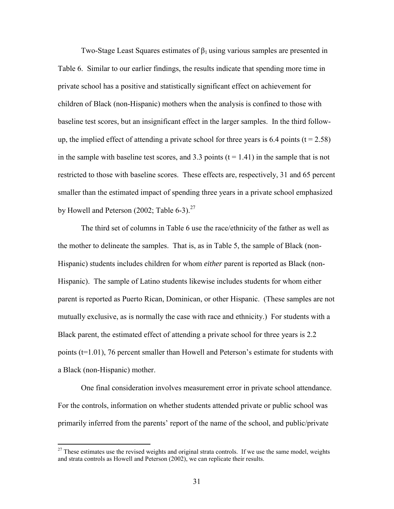Two-Stage Least Squares estimates of  $\beta_1$  using various samples are presented in Table 6. Similar to our earlier findings, the results indicate that spending more time in private school has a positive and statistically significant effect on achievement for children of Black (non-Hispanic) mothers when the analysis is confined to those with baseline test scores, but an insignificant effect in the larger samples. In the third followup, the implied effect of attending a private school for three years is 6.4 points ( $t = 2.58$ ) in the sample with baseline test scores, and 3.3 points  $(t = 1.41)$  in the sample that is not restricted to those with baseline scores. These effects are, respectively, 31 and 65 percent smaller than the estimated impact of spending three years in a private school emphasized by Howell and Peterson (2002; Table 6-3). $^{27}$  $^{27}$  $^{27}$ 

The third set of columns in Table 6 use the race/ethnicity of the father as well as the mother to delineate the samples. That is, as in Table 5, the sample of Black (non-Hispanic) students includes children for whom *either* parent is reported as Black (non-Hispanic). The sample of Latino students likewise includes students for whom either parent is reported as Puerto Rican, Dominican, or other Hispanic. (These samples are not mutually exclusive, as is normally the case with race and ethnicity.) For students with a Black parent, the estimated effect of attending a private school for three years is 2.2 points  $(t=1.01)$ , 76 percent smaller than Howell and Peterson's estimate for students with a Black (non-Hispanic) mother.

One final consideration involves measurement error in private school attendance. For the controls, information on whether students attended private or public school was primarily inferred from the parents' report of the name of the school, and public/private

<span id="page-32-0"></span> $27$  These estimates use the revised weights and original strata controls. If we use the same model, weights and strata controls as Howell and Peterson (2002), we can replicate their results.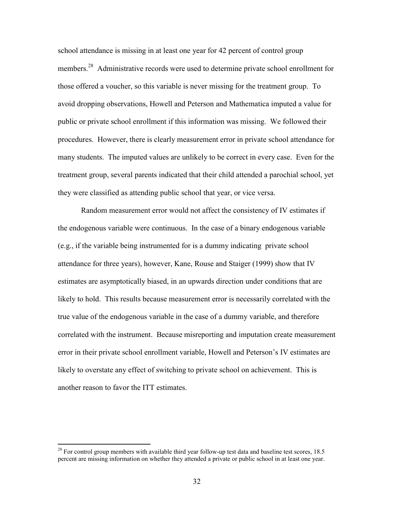school attendance is missing in at least one year for 42 percent of control group members.<sup>28</sup> Administrative records were used to determine private school enrollment for those offered a voucher, so this variable is never missing for the treatment group. To avoid dropping observations, Howell and Peterson and Mathematica imputed a value for public or private school enrollment if this information was missing. We followed their procedures. However, there is clearly measurement error in private school attendance for many students. The imputed values are unlikely to be correct in every case. Even for the treatment group, several parents indicated that their child attended a parochial school, yet they were classified as attending public school that year, or vice versa.

Random measurement error would not affect the consistency of IV estimates if the endogenous variable were continuous. In the case of a binary endogenous variable (e.g., if the variable being instrumented for is a dummy indicating private school attendance for three years), however, Kane, Rouse and Staiger (1999) show that IV estimates are asymptotically biased, in an upwards direction under conditions that are likely to hold. This results because measurement error is necessarily correlated with the true value of the endogenous variable in the case of a dummy variable, and therefore correlated with the instrument. Because misreporting and imputation create measurement error in their private school enrollment variable, Howell and Peterson's IV estimates are likely to overstate any effect of switching to private school on achievement. This is another reason to favor the ITT estimates.

<span id="page-33-0"></span> $^{28}$  For control group members with available third year follow-up test data and baseline test scores, 18.5 percent are missing information on whether they attended a private or public school in at least one year.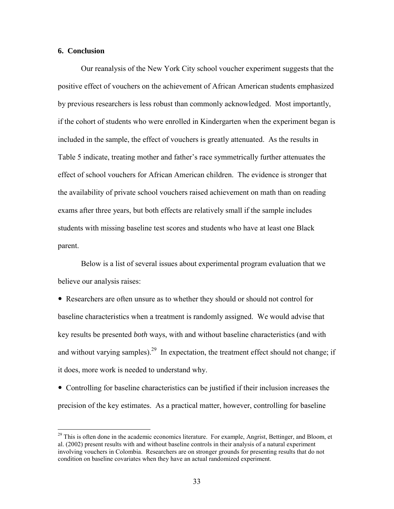### **6. Conclusion**

 $\overline{a}$ 

Our reanalysis of the New York City school voucher experiment suggests that the positive effect of vouchers on the achievement of African American students emphasized by previous researchers is less robust than commonly acknowledged. Most importantly, if the cohort of students who were enrolled in Kindergarten when the experiment began is included in the sample, the effect of vouchers is greatly attenuated. As the results in Table 5 indicate, treating mother and father's race symmetrically further attenuates the effect of school vouchers for African American children. The evidence is stronger that the availability of private school vouchers raised achievement on math than on reading exams after three years, but both effects are relatively small if the sample includes students with missing baseline test scores and students who have at least one Black parent.

Below is a list of several issues about experimental program evaluation that we believe our analysis raises:

! Researchers are often unsure as to whether they should or should not control for baseline characteristics when a treatment is randomly assigned. We would advise that key results be presented *both* ways, with and without baseline characteristics (and with and without varying samples).<sup>29</sup> In expectation, the treatment effect should not change; if it does, more work is needed to understand why.

! Controlling for baseline characteristics can be justified if their inclusion increases the precision of the key estimates. As a practical matter, however, controlling for baseline

<span id="page-34-0"></span> $29$  This is often done in the academic economics literature. For example, Angrist, Bettinger, and Bloom, et al. (2002) present results with and without baseline controls in their analysis of a natural experiment involving vouchers in Colombia. Researchers are on stronger grounds for presenting results that do not condition on baseline covariates when they have an actual randomized experiment.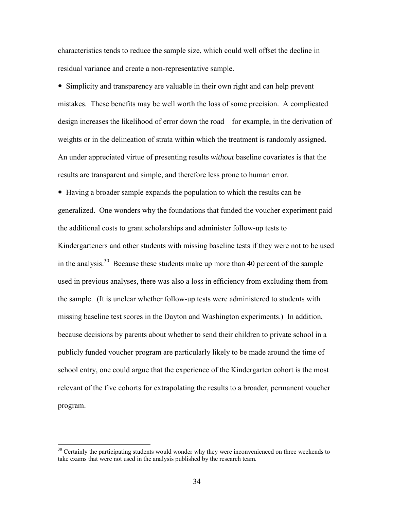characteristics tends to reduce the sample size, which could well offset the decline in residual variance and create a non-representative sample.

! Simplicity and transparency are valuable in their own right and can help prevent mistakes. These benefits may be well worth the loss of some precision. A complicated design increases the likelihood of error down the road – for example, in the derivation of weights or in the delineation of strata within which the treatment is randomly assigned. An under appreciated virtue of presenting results *without* baseline covariates is that the results are transparent and simple, and therefore less prone to human error.

! Having a broader sample expands the population to which the results can be generalized. One wonders why the foundations that funded the voucher experiment paid the additional costs to grant scholarships and administer follow-up tests to Kindergarteners and other students with missing baseline tests if they were not to be used in the analysis.<sup>30</sup> Because these students make up more than 40 percent of the sample used in previous analyses, there was also a loss in efficiency from excluding them from the sample. (It is unclear whether follow-up tests were administered to students with missing baseline test scores in the Dayton and Washington experiments.) In addition, because decisions by parents about whether to send their children to private school in a publicly funded voucher program are particularly likely to be made around the time of school entry, one could argue that the experience of the Kindergarten cohort is the most relevant of the five cohorts for extrapolating the results to a broader, permanent voucher program.

<span id="page-35-0"></span> $30$  Certainly the participating students would wonder why they were inconvenienced on three weekends to take exams that were not used in the analysis published by the research team.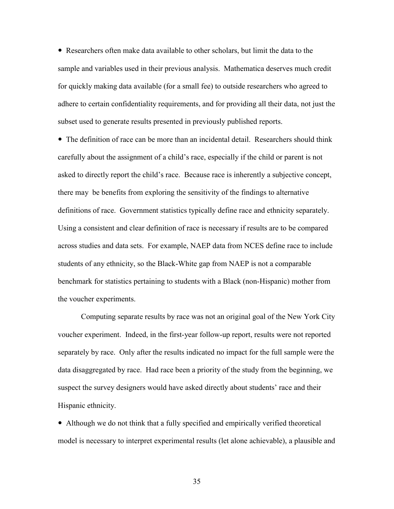! Researchers often make data available to other scholars, but limit the data to the sample and variables used in their previous analysis. Mathematica deserves much credit for quickly making data available (for a small fee) to outside researchers who agreed to adhere to certain confidentiality requirements, and for providing all their data, not just the subset used to generate results presented in previously published reports.

• The definition of race can be more than an incidental detail. Researchers should think carefully about the assignment of a child's race, especially if the child or parent is not asked to directly report the child's race. Because race is inherently a subjective concept, there may be benefits from exploring the sensitivity of the findings to alternative definitions of race. Government statistics typically define race and ethnicity separately. Using a consistent and clear definition of race is necessary if results are to be compared across studies and data sets. For example, NAEP data from NCES define race to include students of any ethnicity, so the Black-White gap from NAEP is not a comparable benchmark for statistics pertaining to students with a Black (non-Hispanic) mother from the voucher experiments.

Computing separate results by race was not an original goal of the New York City voucher experiment. Indeed, in the first-year follow-up report, results were not reported separately by race. Only after the results indicated no impact for the full sample were the data disaggregated by race. Had race been a priority of the study from the beginning, we suspect the survey designers would have asked directly about students' race and their Hispanic ethnicity.

! Although we do not think that a fully specified and empirically verified theoretical model is necessary to interpret experimental results (let alone achievable), a plausible and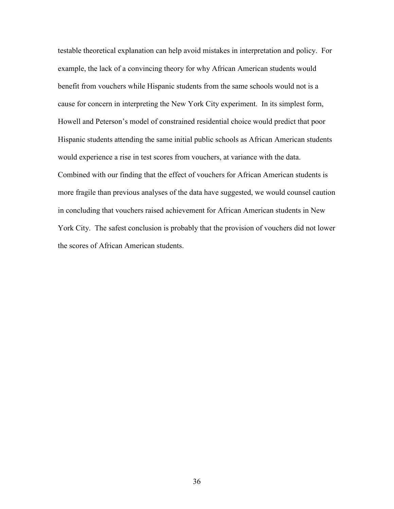testable theoretical explanation can help avoid mistakes in interpretation and policy. For example, the lack of a convincing theory for why African American students would benefit from vouchers while Hispanic students from the same schools would not is a cause for concern in interpreting the New York City experiment. In its simplest form, Howell and Peterson's model of constrained residential choice would predict that poor Hispanic students attending the same initial public schools as African American students would experience a rise in test scores from vouchers, at variance with the data. Combined with our finding that the effect of vouchers for African American students is more fragile than previous analyses of the data have suggested, we would counsel caution in concluding that vouchers raised achievement for African American students in New York City. The safest conclusion is probably that the provision of vouchers did not lower the scores of African American students.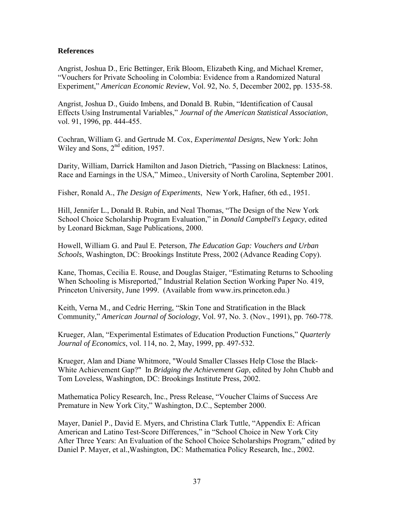# **References**

Angrist, Joshua D., Eric Bettinger, Erik Bloom, Elizabeth King, and Michael Kremer, ìVouchers for Private Schooling in Colombia: Evidence from a Randomized Natural Experiment," *American Economic Review*, Vol. 92, No. 5, December 2002, pp. 1535-58.

Angrist, Joshua D., Guido Imbens, and Donald B. Rubin, "Identification of Causal Effects Using Instrumental Variables," Journal of the American Statistical Association, vol. 91, 1996, pp. 444-455.

Cochran, William G. and Gertrude M. Cox, *Experimental Designs*, New York: John Wiley and Sons, 2<sup>nd</sup> edition, 1957.

Darity, William, Darrick Hamilton and Jason Dietrich, "Passing on Blackness: Latinos, Race and Earnings in the USA," Mimeo., University of North Carolina, September 2001.

Fisher, Ronald A., *The Design of Experiments*, New York, Hafner, 6th ed., 1951.

Hill, Jennifer L., Donald B. Rubin, and Neal Thomas, "The Design of the New York School Choice Scholarship Program Evaluation," in *Donald Campbell's Legacy*, edited by Leonard Bickman, Sage Publications, 2000.

Howell, William G. and Paul E. Peterson, *The Education Gap: Vouchers and Urban Schools*, Washington, DC: Brookings Institute Press, 2002 (Advance Reading Copy).

Kane, Thomas, Cecilia E. Rouse, and Douglas Staiger, "Estimating Returns to Schooling" When Schooling is Misreported," Industrial Relation Section Working Paper No. 419, Princeton University, June 1999. (Available from www.irs.princeton.edu.)

Keith, Verna M., and Cedric Herring, "Skin Tone and Stratification in the Black Community,î *American Journal of Sociology*, Vol. 97, No. 3. (Nov., 1991), pp. 760-778.

Krueger, Alan, "Experimental Estimates of Education Production Functions," *Quarterly Journal of Economics*, vol. 114, no. 2, May, 1999, pp. 497-532.

Krueger, Alan and Diane Whitmore, "Would Smaller Classes Help Close the Black-White Achievement Gap?" In *Bridging the Achievement Gap*, edited by John Chubb and Tom Loveless, Washington, DC: Brookings Institute Press, 2002.

Mathematica Policy Research, Inc., Press Release, "Voucher Claims of Success Are Premature in New York City," Washington, D.C., September 2000.

Mayer, Daniel P., David E. Myers, and Christina Clark Tuttle, "Appendix E: African American and Latino Test-Score Differences," in "School Choice in New York City After Three Years: An Evaluation of the School Choice Scholarships Program," edited by Daniel P. Mayer, et al.,Washington, DC: Mathematica Policy Research, Inc., 2002.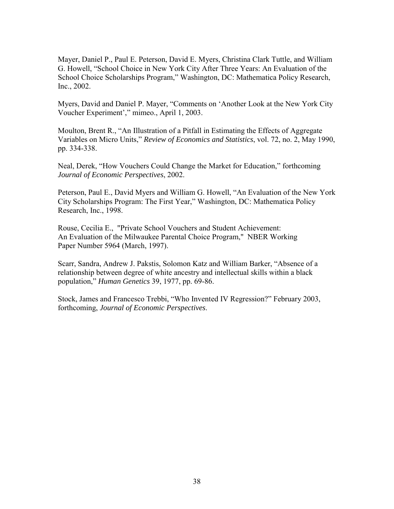Mayer, Daniel P., Paul E. Peterson, David E. Myers, Christina Clark Tuttle, and William G. Howell, "School Choice in New York City After Three Years: An Evaluation of the School Choice Scholarships Program," Washington, DC: Mathematica Policy Research, Inc., 2002.

Myers, David and Daniel P. Mayer, "Comments on 'Another Look at the New York City Voucher Experiment'," mimeo., April 1, 2003.

Moulton, Brent R., "An Illustration of a Pitfall in Estimating the Effects of Aggregate Variables on Micro Units," *Review of Economics and Statistics*, vol. 72, no. 2, May 1990, pp. 334-338.

Neal, Derek, "How Vouchers Could Change the Market for Education," forthcoming *Journal of Economic Perspectives*, 2002.

Peterson, Paul E., David Myers and William G. Howell, "An Evaluation of the New York City Scholarships Program: The First Year," Washington, DC: Mathematica Policy Research, Inc., 1998.

Rouse, Cecilia E., "Private School Vouchers and Student Achievement: An Evaluation of the Milwaukee Parental Choice Program," NBER Working Paper Number 5964 (March, 1997).

Scarr, Sandra, Andrew J. Pakstis, Solomon Katz and William Barker, "Absence of a relationship between degree of white ancestry and intellectual skills within a black population,î *Human Genetics* 39, 1977, pp. 69-86.

Stock, James and Francesco Trebbi, "Who Invented IV Regression?" February 2003, forthcoming, *Journal of Economic Perspectives*.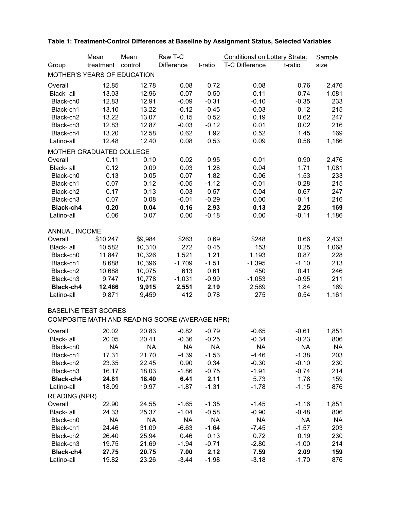|                             | Mean      | Mean      | Raw T-C                                        |           | Sample                                           |           |           |
|-----------------------------|-----------|-----------|------------------------------------------------|-----------|--------------------------------------------------|-----------|-----------|
| Group                       | treatment | control   | Difference                                     | t-ratio   | Conditional on Lottery Strata:<br>T-C Difference | t-ratio   | size      |
| MOTHER'S YEARS OF EDUCATION |           |           |                                                |           |                                                  |           |           |
| Overall                     | 12.85     | 12.78     | 0.08                                           | 0.72      | 0.08                                             | 0.76      | 2,476     |
| Black-all                   | 13.03     | 12.96     | 0.07                                           | 0.50      | 0.11                                             | 0.74      | 1,081     |
| Black-ch0                   | 12.83     | 12.91     | $-0.09$                                        | $-0.31$   | $-0.10$                                          | $-0.35$   | 233       |
| Black-ch1                   | 13.10     | 13.22     | $-0.12$                                        | $-0.45$   | $-0.03$                                          | $-0.12$   | 215       |
| Black-ch2                   | 13.22     | 13.07     | 0.15                                           | 0.52      | 0.19                                             | 0.62      | 247       |
| Black-ch3                   | 12.83     | 12.87     | $-0.03$                                        | $-0.12$   | 0.01                                             | 0.02      | 216       |
| Black-ch4                   | 13.20     | 12.58     | 0.62                                           | 1.92      | 0.52                                             | 1.45      | 169       |
| Latino-all                  | 12.48     | 12.40     | 0.08                                           | 0.53      | 0.09                                             | 0.58      | 1,186     |
| MOTHER GRADUATED COLLEGE    |           |           |                                                |           |                                                  |           |           |
| Overall                     | 0.11      | 0.10      | 0.02                                           | 0.95      | 0.01                                             | 0.90      | 2,476     |
| Black-all                   | 0.12      | 0.09      | 0.03                                           | 1.28      | 0.04                                             | 1.71      | 1,081     |
| Black-ch0                   | 0.13      | 0.05      | 0.07                                           | 1.82      | 0.06                                             | 1.53      | 233       |
| Black-ch1                   | 0.07      | 0.12      | $-0.05$                                        | $-1.12$   | $-0.01$                                          | $-0.28$   | 215       |
| Black-ch2                   | 0.17      | 0.13      | 0.03                                           | 0.57      | 0.04                                             | 0.67      | 247       |
| Black-ch3                   | 0.07      | 0.08      | $-0.01$                                        | $-0.29$   | 0.00                                             | $-0.11$   | 216       |
| Black-ch4                   | 0.20      | 0.04      | 0.16                                           | 2.93      | 0.13                                             | 2.25      | 169       |
| Latino-all                  | 0.06      | 0.07      | 0.00                                           | $-0.18$   | 0.00                                             | $-0.11$   | 1,186     |
| <b>ANNUAL INCOME</b>        |           |           |                                                |           |                                                  |           |           |
| Overall                     | \$10,247  | \$9,984   | \$263                                          | 0.69      | \$248                                            | 0.66      | 2,433     |
| Black-all                   | 10,582    | 10,310    | 272                                            | 0.45      | 153                                              | 0.25      | 1,068     |
| Black-ch0                   | 11,847    | 10,326    | 1,521                                          | 1.21      | 1,193                                            | 0.87      | 228       |
| Black-ch1                   | 8,688     | 10,396    | $-1,709$                                       | $-1.51$   | $-1,395$                                         | $-1.10$   | 213       |
| Black-ch2                   | 10,688    | 10,075    | 613                                            | 0.61      | 450                                              | 0.41      | 246       |
| Black-ch3                   | 9,747     | 10,778    | $-1,031$                                       | $-0.99$   | $-1,053$                                         | $-0.95$   | 211       |
| Black-ch4                   | 12,466    | 9,915     | 2,551                                          | 2.19      | 2,589                                            | 1.84      | 169       |
| Latino-all                  | 9,871     | 9,459     | 412                                            | 0.78      | 275                                              | 0.54      | 1,161     |
|                             |           |           |                                                |           |                                                  |           |           |
| <b>BASELINE TEST SCORES</b> |           |           |                                                |           |                                                  |           |           |
|                             |           |           | COMPOSITE MATH AND READING SCORE (AVERAGE NPR) |           |                                                  |           |           |
| Overall                     | 20.02     | 20.83     | $-0.82$                                        | $-0.79$   | $-0.65$                                          | $-0.61$   | 1,851     |
| Black-all                   | 20.05     | 20.41     | $-0.36$                                        | $-0.25$   | $-0.34$                                          | $-0.23$   | 806       |
| Black-ch0                   | <b>NA</b> | <b>NA</b> | <b>NA</b>                                      | <b>NA</b> | <b>NA</b>                                        | <b>NA</b> | <b>NA</b> |
| Black-ch1                   | 17.31     | 21.70     | $-4.39$                                        | $-1.53$   | $-4.46$                                          | $-1.38$   | 203       |
| Black-ch2                   | 23.35     | 22.45     | 0.90                                           | 0.34      | $-0.30$                                          | $-0.10$   | 230       |
| Black-ch3                   | 16.17     | 18.03     | $-1.86$                                        | $-0.75$   | $-1.91$                                          | $-0.74$   | 214       |
| Black-ch4                   | 24.81     | 18.40     | 6.41                                           | 2.11      | 5.73                                             | 1.78      | 159       |
| Latino-all                  | 18.09     | 19.97     | $-1.87$                                        | $-1.31$   | $-1.78$                                          | $-1.15$   | 876       |
| <b>READING (NPR)</b>        |           |           |                                                |           |                                                  |           |           |
| Overall                     | 22.90     | 24.55     | $-1.65$                                        | $-1.35$   | $-1.45$                                          | $-1.16$   | 1,851     |
| Black-all                   | 24.33     | 25.37     | $-1.04$                                        | $-0.58$   | $-0.90$                                          | $-0.48$   | 806       |
| Black-ch0                   | <b>NA</b> | <b>NA</b> | <b>NA</b>                                      | <b>NA</b> | <b>NA</b>                                        | <b>NA</b> | <b>NA</b> |
| Black-ch1                   | 24.46     | 31.09     | $-6.63$                                        | $-1.64$   | $-7.45$                                          | $-1.57$   | 203       |
| Black-ch2                   | 26.40     | 25.94     | 0.46                                           | 0.13      | 0.72                                             | 0.19      | 230       |
| Black-ch3                   | 19.75     | 21.69     | $-1.94$                                        | $-0.71$   | $-2.80$                                          | $-1.00$   | 214       |
| Black-ch4                   | 27.75     | 20.75     | 7.00                                           | 2.12      | 7.59                                             | 2.09      | 159       |
| Latino-all                  | 19.82     | 23.26     | $-3.44$                                        | $-1.98$   | $-3.18$                                          | $-1.70$   | 876       |

# **Table 1: Treatment-Control Differences at Baseline by Assignment Status, Selected Variables**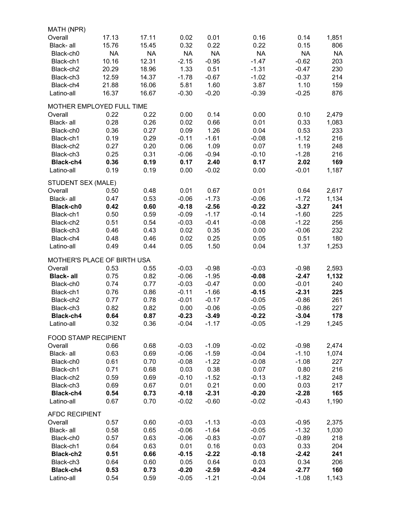| MATH (NPR)                  |           |           |           |           |           |           |           |
|-----------------------------|-----------|-----------|-----------|-----------|-----------|-----------|-----------|
| Overall                     | 17.13     | 17.11     | 0.02      | 0.01      | 0.16      | 0.14      | 1,851     |
| Black-all                   | 15.76     | 15.45     | 0.32      | 0.22      | 0.22      | 0.15      | 806       |
| Black-ch0                   | <b>NA</b> | <b>NA</b> | <b>NA</b> | <b>NA</b> | <b>NA</b> | <b>NA</b> | <b>NA</b> |
| Black-ch1                   | 10.16     | 12.31     | $-2.15$   | $-0.95$   | $-1.47$   | $-0.62$   | 203       |
| Black-ch2                   | 20.29     | 18.96     | 1.33      | 0.51      | $-1.31$   | $-0.47$   | 230       |
| Black-ch3                   | 12.59     | 14.37     | $-1.78$   | $-0.67$   | $-1.02$   | $-0.37$   | 214       |
| Black-ch4                   | 21.88     | 16.06     | 5.81      | 1.60      | 3.87      | 1.10      | 159       |
| Latino-all                  | 16.37     | 16.67     | $-0.30$   | $-0.20$   | $-0.39$   | $-0.25$   | 876       |
| MOTHER EMPLOYED FULL TIME   |           |           |           |           |           |           |           |
| Overall                     | 0.22      | 0.22      | 0.00      | 0.14      | 0.00      | 0.10      | 2,479     |
| Black-all                   | 0.28      | 0.26      | 0.02      | 0.66      | 0.01      | 0.33      | 1,083     |
| Black-ch0                   | 0.36      | 0.27      | 0.09      | 1.26      | 0.04      | 0.53      | 233       |
| Black-ch1                   | 0.19      | 0.29      | $-0.11$   | $-1.61$   | $-0.08$   | $-1.12$   | 216       |
| Black-ch2                   | 0.27      | 0.20      | 0.06      | 1.09      | 0.07      | 1.19      | 248       |
| Black-ch3                   | 0.25      | 0.31      | $-0.06$   | $-0.94$   | $-0.10$   | $-1.28$   | 216       |
| Black-ch4                   | 0.36      | 0.19      | 0.17      | 2.40      | 0.17      | 2.02      | 169       |
| Latino-all                  | 0.19      | 0.19      | 0.00      | $-0.02$   | 0.00      | $-0.01$   | 1,187     |
| STUDENT SEX (MALE)          |           |           |           |           |           |           |           |
| Overall                     | 0.50      | 0.48      | 0.01      | 0.67      | 0.01      | 0.64      | 2,617     |
| Black-all                   | 0.47      | 0.53      | $-0.06$   | $-1.73$   | $-0.06$   | $-1.72$   | 1,134     |
| Black-ch0                   | 0.42      | 0.60      | $-0.18$   | $-2.56$   | $-0.22$   | $-3.27$   | 241       |
| Black-ch1                   | 0.50      | 0.59      | $-0.09$   | $-1.17$   | $-0.14$   | $-1.60$   | 225       |
| Black-ch2                   | 0.51      | 0.54      | $-0.03$   | $-0.41$   | $-0.08$   | $-1.22$   | 256       |
| Black-ch <sub>3</sub>       | 0.46      | 0.43      | 0.02      | 0.35      | 0.00      | $-0.06$   | 232       |
| Black-ch4                   | 0.48      | 0.46      | 0.02      | 0.25      | 0.05      | 0.51      | 180       |
| Latino-all                  | 0.49      | 0.44      | 0.05      | 1.50      | 0.04      | 1.37      | 1,253     |
| MOTHER'S PLACE OF BIRTH USA |           |           |           |           |           |           |           |
| Overall                     | 0.53      | 0.55      | $-0.03$   | $-0.98$   | $-0.03$   | $-0.98$   | 2,593     |
| <b>Black-all</b>            | 0.75      | 0.82      | $-0.06$   | $-1.95$   | $-0.08$   | $-2.47$   | 1,132     |
| Black-ch0                   | 0.74      | 0.77      | $-0.03$   | $-0.47$   | 0.00      | $-0.01$   | 240       |
| Black-ch1                   | 0.76      | 0.86      | $-0.11$   | $-1.66$   | $-0.15$   | $-2.31$   | 225       |
| Black-ch2                   | 0.77      | 0.78      | $-0.01$   | $-0.17$   | $-0.05$   | $-0.86$   | 261       |
| Black-ch3                   | 0.82      | 0.82      | 0.00      | $-0.06$   | $-0.05$   | $-0.86$   | 227       |
| Black-ch4                   | 0.64      | 0.87      | $-0.23$   | $-3.49$   | $-0.22$   | $-3.04$   | 178       |
| Latino-all                  | 0.32      | 0.36      | $-0.04$   | $-1.17$   | $-0.05$   | $-1.29$   | 1,245     |
| <b>FOOD STAMP RECIPIENT</b> |           |           |           |           |           |           |           |
| Overall                     | 0.66      | 0.68      | $-0.03$   | $-1.09$   | $-0.02$   | $-0.98$   | 2,474     |
| Black-all                   | 0.63      | 0.69      | $-0.06$   | $-1.59$   | $-0.04$   | $-1.10$   | 1,074     |
| Black-ch0                   | 0.61      | 0.70      | $-0.08$   | $-1.22$   | $-0.08$   | $-1.08$   | 227       |
| Black-ch1                   | 0.71      | 0.68      | 0.03      | 0.38      | 0.07      | 0.80      | 216       |
| Black-ch2                   | 0.59      | 0.69      | $-0.10$   | $-1.52$   | $-0.13$   | $-1.82$   | 248       |
| Black-ch3                   | 0.69      | 0.67      | 0.01      | 0.21      | 0.00      | 0.03      | 217       |
| <b>Black-ch4</b>            | 0.54      | 0.73      | $-0.18$   | $-2.31$   | $-0.20$   | $-2.28$   | 165       |
| Latino-all                  | 0.67      | 0.70      | $-0.02$   | $-0.60$   | $-0.02$   | $-0.43$   | 1,190     |
| <b>AFDC RECIPIENT</b>       |           |           |           |           |           |           |           |
| Overall                     | 0.57      | 0.60      | $-0.03$   | $-1.13$   | $-0.03$   | $-0.95$   | 2,375     |
| Black-all                   | 0.58      | 0.65      | $-0.06$   | $-1.64$   | $-0.05$   | $-1.32$   | 1,030     |
| Black-ch0                   | 0.57      | 0.63      | $-0.06$   | $-0.83$   | $-0.07$   | $-0.89$   | 218       |
| Black-ch1                   | 0.64      | 0.63      | 0.01      | 0.16      | 0.03      | 0.33      | 204       |
| Black-ch2                   | 0.51      | 0.66      | $-0.15$   | $-2.22$   | $-0.18$   | $-2.42$   | 241       |
| Black-ch3                   | 0.64      | 0.60      | 0.05      | 0.64      | 0.03      | 0.34      | 206       |
| Black-ch4                   | 0.53      | 0.73      | $-0.20$   | $-2.59$   | $-0.24$   | $-2.77$   | 160       |
| Latino-all                  | 0.54      | 0.59      | $-0.05$   | $-1.21$   | $-0.04$   | $-1.08$   | 1,143     |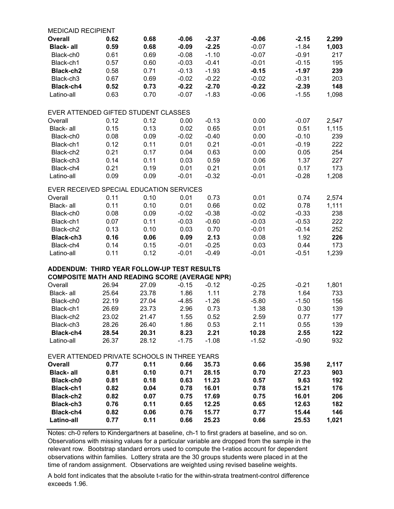| MEDICAID RECIPIENT                                    |       |       |         |         |         |         |       |
|-------------------------------------------------------|-------|-------|---------|---------|---------|---------|-------|
| <b>Overall</b>                                        | 0.62  | 0.68  | $-0.06$ | $-2.37$ | $-0.06$ | $-2.15$ | 2,299 |
| <b>Black-all</b>                                      | 0.59  | 0.68  | $-0.09$ | $-2.25$ | $-0.07$ | $-1.84$ | 1,003 |
| Black-ch0                                             | 0.61  | 0.69  | $-0.08$ | $-1.10$ | $-0.07$ | $-0.91$ | 217   |
| Black-ch1                                             | 0.57  | 0.60  | $-0.03$ | $-0.41$ | $-0.01$ | $-0.15$ | 195   |
| Black-ch2                                             | 0.58  | 0.71  | $-0.13$ | $-1.93$ | $-0.15$ | $-1.97$ | 239   |
| Black-ch3                                             | 0.67  | 0.69  | $-0.02$ | $-0.22$ | $-0.02$ | $-0.31$ | 203   |
| Black-ch4                                             | 0.52  | 0.73  | $-0.22$ | $-2.70$ | $-0.22$ | $-2.39$ | 148   |
| Latino-all                                            | 0.63  | 0.70  | $-0.07$ | $-1.83$ | $-0.06$ | $-1.55$ | 1,098 |
| EVER ATTENDED GIFTED STUDENT CLASSES                  |       |       |         |         |         |         |       |
| Overall                                               | 0.12  | 0.12  | 0.00    | $-0.13$ | 0.00    | $-0.07$ | 2,547 |
| Black-all                                             | 0.15  | 0.13  | 0.02    | 0.65    | 0.01    | 0.51    | 1,115 |
| Black-ch0                                             | 0.08  | 0.09  | $-0.02$ | $-0.40$ | 0.00    | $-0.10$ | 239   |
| Black-ch1                                             | 0.12  | 0.11  | 0.01    | 0.21    | $-0.01$ | $-0.19$ | 222   |
| Black-ch2                                             | 0.21  | 0.17  | 0.04    | 0.63    | 0.00    | 0.05    | 254   |
| Black-ch3                                             | 0.14  | 0.11  | 0.03    | 0.59    | 0.06    | 1.37    | 227   |
| Black-ch4                                             | 0.21  | 0.19  | 0.01    | 0.21    | 0.01    | 0.17    | 173   |
| Latino-all                                            | 0.09  | 0.09  | $-0.01$ | $-0.32$ | $-0.01$ | $-0.28$ | 1,208 |
| EVER RECEIVED SPECIAL EDUCATION SERVICES              |       |       |         |         |         |         |       |
| Overall                                               | 0.11  | 0.10  | 0.01    | 0.73    | 0.01    | 0.74    | 2,574 |
| Black-all                                             | 0.11  | 0.10  | 0.01    | 0.66    | 0.02    | 0.78    | 1,111 |
| Black-ch0                                             | 0.08  | 0.09  | $-0.02$ | $-0.38$ | $-0.02$ | $-0.33$ | 238   |
| Black-ch1                                             | 0.07  | 0.11  | $-0.03$ | $-0.60$ | $-0.03$ | $-0.53$ | 222   |
| Black-ch2                                             | 0.13  | 0.10  | 0.03    | 0.70    | $-0.01$ | $-0.14$ | 252   |
| Black-ch3                                             | 0.16  | 0.06  | 0.09    | 2.13    | 0.08    | 1.92    | 226   |
| Black-ch4                                             | 0.14  | 0.15  | $-0.01$ | $-0.25$ | 0.03    | 0.44    | 173   |
| Latino-all                                            | 0.11  | 0.12  | $-0.01$ | $-0.49$ | $-0.01$ | $-0.51$ | 1,239 |
| ADDENDUM: THIRD YEAR FOLLOW-UP TEST RESULTS           |       |       |         |         |         |         |       |
| <b>COMPOSITE MATH AND READING SCORE (AVERAGE NPR)</b> |       |       |         |         |         |         |       |
| Overall                                               | 26.94 | 27.09 | $-0.15$ | $-0.12$ | $-0.25$ | $-0.21$ | 1,801 |
| Black-all                                             | 25.64 | 23.78 | 1.86    | 1.11    | 2.78    | 1.64    | 733   |
| Black-ch0                                             | 22.19 | 27.04 | $-4.85$ | $-1.26$ | $-5.80$ | $-1.50$ | 156   |
| Black-ch1                                             | 26.69 | 23.73 | 2.96    | 0.73    | 1.38    | 0.30    | 139   |
| Black-ch2                                             | 23.02 | 21.47 | 1.55    | 0.52    | 2.59    | 0.77    | 177   |
| Black-ch <sub>3</sub>                                 | 28.26 | 26.40 | 1.86    | 0.53    | 2.11    | 0.55    | 139   |
| Black-ch4                                             | 28.54 | 20.31 | 8.23    | 2.21    | 10.28   | 2.55    | 122   |
| Latino-all                                            | 26.37 | 28.12 | $-1.75$ | $-1.08$ | $-1.52$ | $-0.90$ | 932   |
| EVER ATTENDED PRIVATE SCHOOLS IN THREE YEARS          |       |       |         |         |         |         |       |
| <b>Overall</b>                                        | 0.77  | 0.11  | 0.66    | 35.73   | 0.66    | 35.98   | 2,117 |
| <b>Black-all</b>                                      | 0.81  | 0.10  | 0.71    | 28.15   | 0.70    | 27.23   | 903   |
| Black-ch0                                             | 0.81  | 0.18  | 0.63    | 11.23   | 0.57    | 9.63    | 192   |
| Black-ch1                                             | 0.82  | 0.04  | 0.78    | 16.01   | 0.78    | 15.21   | 176   |
| Black-ch2                                             | 0.82  | 0.07  | 0.75    | 17.69   | 0.75    | 16.01   | 206   |
| Black-ch3                                             | 0.76  | 0.11  | 0.65    | 12.25   | 0.65    | 12.63   | 182   |
| Black-ch4                                             | 0.82  | 0.06  | 0.76    | 15.77   | 0.77    | 15.44   | 146   |
| Latino-all                                            | 0.77  | 0.11  | 0.66    | 25.23   | 0.66    | 25.53   | 1,021 |
|                                                       |       |       |         |         |         |         |       |

MEDICAID RECIPIENT

Notes: ch-0 refers to Kindergartners at baseline, ch-1 to first graders at baseline, and so on. Observations with missing values for a particular variable are dropped from the sample in the relevant row. Bootstrap standard errors used to compute the t-ratios account for dependent observations within families. Lottery strata are the 30 groups students were placed in at the time of random assignment. Observations are weighted using revised baseline weights.

A bold font indicates that the absolute t-ratio for the within-strata treatment-control difference exceeds 1.96.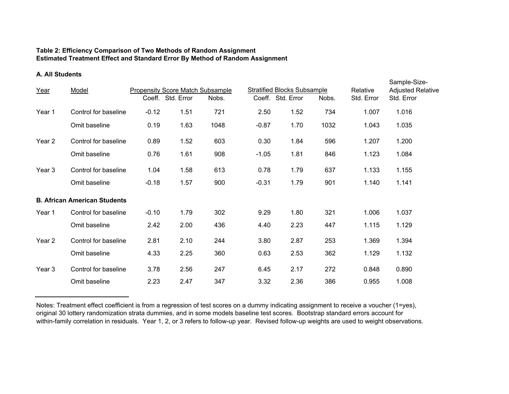## **Table 2: Efficiency Comparison of Two Methods of Random Assignment Estimated Treatment Effect and Standard Error By Method of Random Assignment**

#### **A. All Students**

| Year   | Model                               | <b>Propensity Score Match Subsample</b><br>Coeff. Std. Error |      | Nobs. |         |      | <b>Stratified Blocks Subsample</b><br>Coeff. Std. Error<br>Nobs. |       | Sample-Size-<br><b>Adjusted Relative</b><br>Std. Error |
|--------|-------------------------------------|--------------------------------------------------------------|------|-------|---------|------|------------------------------------------------------------------|-------|--------------------------------------------------------|
| Year 1 | Control for baseline                | $-0.12$                                                      | 1.51 | 721   | 2.50    | 1.52 | 734                                                              | 1.007 | 1.016                                                  |
|        | Omit baseline                       | 0.19                                                         | 1.63 | 1048  | $-0.87$ | 1.70 | 1032                                                             | 1.043 | 1.035                                                  |
| Year 2 | Control for baseline                | 0.89                                                         | 1.52 | 603   | 0.30    | 1.84 | 596                                                              | 1.207 | 1.200                                                  |
|        | Omit baseline                       | 0.76                                                         | 1.61 | 908   | $-1.05$ | 1.81 | 846                                                              | 1.123 | 1.084                                                  |
| Year 3 | Control for baseline                | 1.04                                                         | 1.58 | 613   | 0.78    | 1.79 | 637                                                              | 1.133 | 1.155                                                  |
|        | Omit baseline                       | $-0.18$                                                      | 1.57 | 900   | $-0.31$ | 1.79 | 901                                                              | 1.140 | 1.141                                                  |
|        | <b>B. African American Students</b> |                                                              |      |       |         |      |                                                                  |       |                                                        |
| Year 1 | Control for baseline                | $-0.10$                                                      | 1.79 | 302   | 9.29    | 1.80 | 321                                                              | 1.006 | 1.037                                                  |
|        | Omit baseline                       | 2.42                                                         | 2.00 | 436   | 4.40    | 2.23 | 447                                                              | 1.115 | 1.129                                                  |
| Year 2 | Control for baseline                | 2.81                                                         | 2.10 | 244   | 3.80    | 2.87 | 253                                                              | 1.369 | 1.394                                                  |
|        | Omit baseline                       | 4.33                                                         | 2.25 | 360   | 0.63    | 2.53 | 362                                                              | 1.129 | 1.132                                                  |
| Year 3 | Control for baseline                | 3.78                                                         | 2.56 | 247   | 6.45    | 2.17 | 272                                                              | 0.848 | 0.890                                                  |
|        | Omit baseline                       | 2.23                                                         | 2.47 | 347   | 3.32    | 2.36 | 386                                                              | 0.955 | 1.008                                                  |

Notes: Treatment effect coefficient is from a regression of test scores on a dummy indicating assignment to receive a voucher (1=yes), original 30 lottery randomization strata dummies, and in some models baseline test scores. Bootstrap standard errors account for within-family correlation in residuals. Year 1, 2, or 3 refers to follow-up year. Revised follow-up weights are used to weight observations.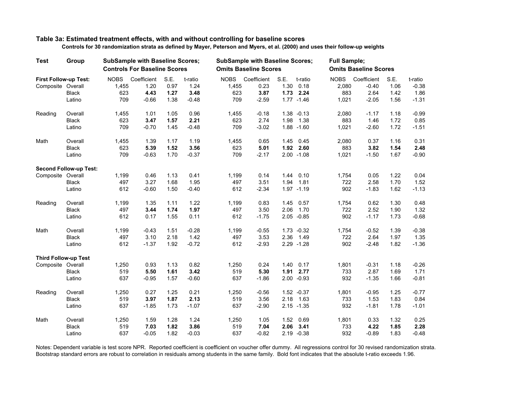#### **Table 3a: Estimated treatment effects, with and without controlling for baseline scores**

 **Controls for 30 randomization strata as defined by Mayer, Peterson and Myers, et al. (2000) and uses their follow-up weights**

| <b>Test</b>                  | <b>SubSample with Baseline Scores;</b><br><b>SubSample with Baseline Scores;</b><br>Group |             |             |      |         |             | <b>Full Sample;</b> |      |                              |             |             |      |         |  |  |  |  |
|------------------------------|-------------------------------------------------------------------------------------------|-------------|-------------|------|---------|-------------|---------------------|------|------------------------------|-------------|-------------|------|---------|--|--|--|--|
|                              | <b>Omits Baseline Scores</b><br><b>Controls For Baseline Scores</b>                       |             |             |      |         |             |                     |      | <b>Omits Baseline Scores</b> |             |             |      |         |  |  |  |  |
| <b>First Follow-up Test:</b> |                                                                                           | <b>NOBS</b> | Coefficient | S.E. | t-ratio | <b>NOBS</b> | Coefficient         | S.E. | t-ratio                      | <b>NOBS</b> | Coefficient | S.E. | t-ratio |  |  |  |  |
| Composite Overall            |                                                                                           | 1,455       | 1.20        | 0.97 | 1.24    | 1,455       | 0.23                | 1.30 | 0.18                         | 2,080       | $-0.40$     | 1.06 | $-0.38$ |  |  |  |  |
|                              | <b>Black</b>                                                                              | 623         | 4.43        | 1.27 | 3.48    | 623         | 3.87                | 1.73 | 2.24                         | 883         | 2.64        | 1.42 | 1.86    |  |  |  |  |
|                              | Latino                                                                                    | 709         | $-0.66$     | 1.38 | $-0.48$ | 709         | $-2.59$             |      | $1.77 - 1.46$                | 1,021       | $-2.05$     | 1.56 | $-1.31$ |  |  |  |  |
| Reading                      | Overall                                                                                   | 1,455       | 1.01        | 1.05 | 0.96    | 1,455       | $-0.18$             |      | $1.38 - 0.13$                | 2,080       | $-1.17$     | 1.18 | $-0.99$ |  |  |  |  |
|                              | <b>Black</b>                                                                              | 623         | 3.47        | 1.57 | 2.21    | 623         | 2.74                | 1.98 | 1.38                         | 883         | 1.46        | 1.72 | 0.85    |  |  |  |  |
|                              | Latino                                                                                    | 709         | $-0.70$     | 1.45 | $-0.48$ | 709         | $-3.02$             |      | $1.88 - 1.60$                | 1,021       | $-2.60$     | 1.72 | $-1.51$ |  |  |  |  |
| Math                         | Overall                                                                                   | 1,455       | 1.39        | 1.17 | 1.19    | 1,455       | 0.65                | 1.45 | 0.45                         | 2,080       | 0.37        | 1.16 | 0.31    |  |  |  |  |
|                              | <b>Black</b>                                                                              | 623         | 5.39        | 1.52 | 3.56    | 623         | 5.01                | 1.92 | 2.60                         | 883         | 3.82        | 1.54 | 2.48    |  |  |  |  |
|                              | Latino                                                                                    | 709         | $-0.63$     | 1.70 | $-0.37$ | 709         | $-2.17$             |      | $2.00 - 1.08$                | 1,021       | $-1.50$     | 1.67 | $-0.90$ |  |  |  |  |
|                              | <b>Second Follow-up Test:</b>                                                             |             |             |      |         |             |                     |      |                              |             |             |      |         |  |  |  |  |
| Composite Overall            |                                                                                           | 1,199       | 0.46        | 1.13 | 0.41    | 1,199       | 0.14                | 1.44 | 0.10                         | 1,754       | 0.05        | 1.22 | 0.04    |  |  |  |  |
|                              | <b>Black</b>                                                                              | 497         | 3.27        | 1.68 | 1.95    | 497         | 3.51                | 1.94 | 1.81                         | 722         | 2.58        | 1.70 | 1.52    |  |  |  |  |
|                              | Latino                                                                                    | 612         | $-0.60$     | 1.50 | $-0.40$ | 612         | $-2.34$             |      | $1.97 - 1.19$                | 902         | $-1.83$     | 1.62 | $-1.13$ |  |  |  |  |
| Reading                      | Overall                                                                                   | 1,199       | 1.35        | 1.11 | 1.22    | 1,199       | 0.83                | 1.45 | 0.57                         | 1,754       | 0.62        | 1.30 | 0.48    |  |  |  |  |
|                              | <b>Black</b>                                                                              | 497         | 3.44        | 1.74 | 1.97    | 497         | 3.50                | 2.06 | 1.70                         | 722         | 2.52        | 1.90 | 1.32    |  |  |  |  |
|                              | Latino                                                                                    | 612         | 0.17        | 1.55 | 0.11    | 612         | $-1.75$             |      | $2.05 - 0.85$                | 902         | $-1.17$     | 1.73 | $-0.68$ |  |  |  |  |
| Math                         | Overall                                                                                   | 1,199       | $-0.43$     | 1.51 | $-0.28$ | 1,199       | $-0.55$             |      | $1.73 - 0.32$                | 1,754       | $-0.52$     | 1.39 | $-0.38$ |  |  |  |  |
|                              | <b>Black</b>                                                                              | 497         | 3.10        | 2.18 | 1.42    | 497         | 3.53                | 2.36 | 1.49                         | 722         | 2.64        | 1.97 | 1.35    |  |  |  |  |
|                              | Latino                                                                                    | 612         | $-1.37$     | 1.92 | $-0.72$ | 612         | $-2.93$             |      | $2.29 - 1.28$                | 902         | $-2.48$     | 1.82 | $-1.36$ |  |  |  |  |
| Third Follow-up Test         |                                                                                           |             |             |      |         |             |                     |      |                              |             |             |      |         |  |  |  |  |
| Composite Overall            |                                                                                           | 1,250       | 0.93        | 1.13 | 0.82    | 1,250       | 0.24                | 1.40 | 0.17                         | 1,801       | $-0.31$     | 1.18 | $-0.26$ |  |  |  |  |
|                              | <b>Black</b>                                                                              | 519         | 5.50        | 1.61 | 3.42    | 519         | 5.30                | 1.91 | 2.77                         | 733         | 2.87        | 1.69 | 1.71    |  |  |  |  |
|                              | Latino                                                                                    | 637         | $-0.95$     | 1.57 | $-0.60$ | 637         | $-1.86$             |      | $2.00 - 0.93$                | 932         | $-1.35$     | 1.66 | $-0.81$ |  |  |  |  |
| Reading                      | Overall                                                                                   | 1,250       | 0.27        | 1.25 | 0.21    | 1,250       | $-0.56$             |      | $1.52 - 0.37$                | 1,801       | $-0.95$     | 1.25 | $-0.77$ |  |  |  |  |
|                              | <b>Black</b>                                                                              | 519         | 3.97        | 1.87 | 2.13    | 519         | 3.56                | 2.18 | 1.63                         | 733         | 1.53        | 1.83 | 0.84    |  |  |  |  |
|                              | Latino                                                                                    | 637         | $-1.85$     | 1.73 | $-1.07$ | 637         | $-2.90$             |      | $2.15 - 1.35$                | 932         | $-1.81$     | 1.78 | $-1.01$ |  |  |  |  |
| Math                         | Overall                                                                                   | 1,250       | 1.59        | 1.28 | 1.24    | 1,250       | 1.05                | 1.52 | 0.69                         | 1,801       | 0.33        | 1.32 | 0.25    |  |  |  |  |
|                              | <b>Black</b>                                                                              | 519         | 7.03        | 1.82 | 3.86    | 519         | 7.04                | 2.06 | 3.41                         | 733         | 4.22        | 1.85 | 2.28    |  |  |  |  |
|                              | Latino                                                                                    | 637         | $-0.05$     | 1.82 | $-0.03$ | 637         | $-0.82$             |      | 2.19 -0.38                   | 932         | $-0.89$     | 1.83 | $-0.48$ |  |  |  |  |

Notes: Dependent variable is test score NPR. Reported coefficient is coefficient on voucher offer dummy. All regressions control for 30 revised randomization strata. Bootstrap standard errors are robust to correlation in residuals among students in the same family. Bold font indicates that the absolute t-ratio exceeds 1.96.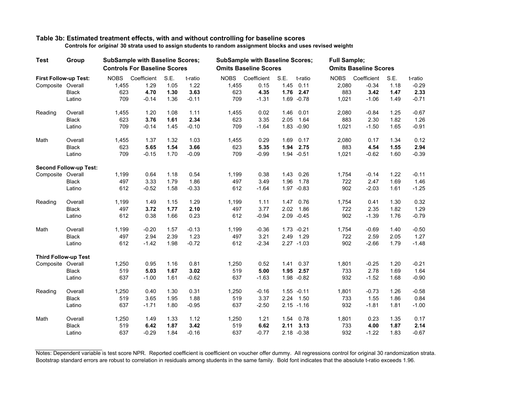#### **Table 3b: Estimated treatment effects, with and without controlling for baseline scores**

 **Controls for** *original* **30 strata used to assign students to random assignment blocks and uses revised weights**

| <b>Test</b>                  | Group                         |                                     | <b>SubSample with Baseline Scores;</b><br><b>SubSample with Baseline Scores;</b> |      |         |             |                              | <b>Full Sample;</b> |               |                              |             |      |         |
|------------------------------|-------------------------------|-------------------------------------|----------------------------------------------------------------------------------|------|---------|-------------|------------------------------|---------------------|---------------|------------------------------|-------------|------|---------|
|                              |                               | <b>Controls For Baseline Scores</b> |                                                                                  |      |         |             | <b>Omits Baseline Scores</b> |                     |               | <b>Omits Baseline Scores</b> |             |      |         |
| <b>First Follow-up Test:</b> |                               | <b>NOBS</b>                         | Coefficient                                                                      | S.E. | t-ratio | <b>NOBS</b> | Coefficient                  | S.E.                | t-ratio       | <b>NOBS</b>                  | Coefficient | S.E. | t-ratio |
| Composite Overall            |                               | 1,455                               | 1.29                                                                             | 1.05 | 1.22    | 1,455       | 0.15                         | 1.45                | 0.11          | 2,080                        | $-0.34$     | 1.18 | $-0.29$ |
|                              | <b>Black</b>                  | 623                                 | 4.70                                                                             | 1.30 | 3.63    | 623         | 4.35                         | 1.76                | 2.47          | 883                          | 3.42        | 1.47 | 2.33    |
|                              | Latino                        | 709                                 | $-0.14$                                                                          | 1.36 | $-0.11$ | 709         | $-1.31$                      | 1.69                | $-0.78$       | 1,021                        | $-1.06$     | 1.49 | $-0.71$ |
| Reading                      | Overall                       | 1,455                               | 1.20                                                                             | 1.08 | 1.11    | 1,455       | 0.02                         | 1.46                | 0.01          | 2,080                        | $-0.84$     | 1.25 | $-0.67$ |
|                              | <b>Black</b>                  | 623                                 | 3.76                                                                             | 1.61 | 2.34    | 623         | 3.35                         | 2.05                | 1.64          | 883                          | 2.30        | 1.82 | 1.26    |
|                              | Latino                        | 709                                 | $-0.14$                                                                          | 1.45 | $-0.10$ | 709         | $-1.64$                      |                     | 1.83 -0.90    | 1,021                        | $-1.50$     | 1.65 | $-0.91$ |
| Math                         | Overall                       | 1,455                               | 1.37                                                                             | 1.32 | 1.03    | 1,455       | 0.29                         | 1.69                | 0.17          | 2,080                        | 0.17        | 1.34 | 0.12    |
|                              | <b>Black</b>                  | 623                                 | 5.65                                                                             | 1.54 | 3.66    | 623         | 5.35                         | 1.94                | 2.75          | 883                          | 4.54        | 1.55 | 2.94    |
|                              | Latino                        | 709                                 | $-0.15$                                                                          | 1.70 | $-0.09$ | 709         | $-0.99$                      |                     | 1.94 - 0.51   | 1,021                        | $-0.62$     | 1.60 | $-0.39$ |
|                              | <b>Second Follow-up Test:</b> |                                     |                                                                                  |      |         |             |                              |                     |               |                              |             |      |         |
| Composite Overall            |                               | 1,199                               | 0.64                                                                             | 1.18 | 0.54    | 1,199       | 0.38                         | 1.43                | 0.26          | 1,754                        | $-0.14$     | 1.22 | $-0.11$ |
|                              | <b>Black</b>                  | 497                                 | 3.33                                                                             | 1.79 | 1.86    | 497         | 3.49                         | 1.96                | 1.78          | 722                          | 2.47        | 1.69 | 1.46    |
|                              | Latino                        | 612                                 | $-0.52$                                                                          | 1.58 | $-0.33$ | 612         | $-1.64$                      |                     | $1.97 - 0.83$ | 902                          | $-2.03$     | 1.61 | $-1.25$ |
| Reading                      | Overall                       | 1,199                               | 1.49                                                                             | 1.15 | 1.29    | 1,199       | 1.11                         | 1.47                | 0.76          | 1,754                        | 0.41        | 1.30 | 0.32    |
|                              | <b>Black</b>                  | 497                                 | 3.72                                                                             | 1.77 | 2.10    | 497         | 3.77                         | 2.02                | 1.86          | 722                          | 2.35        | 1.82 | 1.29    |
|                              | Latino                        | 612                                 | 0.38                                                                             | 1.66 | 0.23    | 612         | $-0.94$                      |                     | $2.09 - 0.45$ | 902                          | $-1.39$     | 1.76 | $-0.79$ |
| Math                         | Overall                       | 1,199                               | $-0.20$                                                                          | 1.57 | $-0.13$ | 1,199       | $-0.36$                      |                     | $1.73 - 0.21$ | 1,754                        | $-0.69$     | 1.40 | $-0.50$ |
|                              | <b>Black</b>                  | 497                                 | 2.94                                                                             | 2.39 | 1.23    | 497         | 3.21                         | 2.49                | 1.29          | 722                          | 2.59        | 2.05 | 1.27    |
|                              | Latino                        | 612                                 | $-1.42$                                                                          | 1.98 | $-0.72$ | 612         | $-2.34$                      |                     | $2.27 - 1.03$ | 902                          | $-2.66$     | 1.79 | $-1.48$ |
| <b>Third Follow-up Test</b>  |                               |                                     |                                                                                  |      |         |             |                              |                     |               |                              |             |      |         |
| Composite Overall            |                               | 1,250                               | 0.95                                                                             | 1.16 | 0.81    | 1,250       | 0.52                         | 1.41                | 0.37          | 1,801                        | $-0.25$     | 1.20 | $-0.21$ |
|                              | <b>Black</b>                  | 519                                 | 5.03                                                                             | 1.67 | 3.02    | 519         | 5.00                         | 1.95                | 2.57          | 733                          | 2.78        | 1.69 | 1.64    |
|                              | Latino                        | 637                                 | $-1.00$                                                                          | 1.61 | $-0.62$ | 637         | $-1.63$                      |                     | 1.98 - 0.82   | 932                          | $-1.52$     | 1.68 | $-0.90$ |
| Reading                      | Overall                       | 1,250                               | 0.40                                                                             | 1.30 | 0.31    | 1,250       | $-0.16$                      | 1.55                | $-0.11$       | 1,801                        | $-0.73$     | 1.26 | $-0.58$ |
|                              | <b>Black</b>                  | 519                                 | 3.65                                                                             | 1.95 | 1.88    | 519         | 3.37                         | 2.24                | 1.50          | 733                          | 1.55        | 1.86 | 0.84    |
|                              | Latino                        | 637                                 | $-1.71$                                                                          | 1.80 | $-0.95$ | 637         | $-2.50$                      |                     | $2.15 - 1.16$ | 932                          | $-1.81$     | 1.81 | $-1.00$ |
| Math                         | Overall                       | 1,250                               | 1.49                                                                             | 1.33 | 1.12    | 1,250       | 1.21                         | 1.54                | 0.78          | 1,801                        | 0.23        | 1.35 | 0.17    |
|                              | <b>Black</b>                  | 519                                 | 6.42                                                                             | 1.87 | 3.42    | 519         | 6.62                         | 2.11                | 3.13          | 733                          | 4.00        | 1.87 | 2.14    |
|                              | Latino                        | 637                                 | $-0.29$                                                                          | 1.84 | $-0.16$ | 637         | $-0.77$                      |                     | $2.18 - 0.38$ | 932                          | $-1.22$     | 1.83 | $-0.67$ |

Notes: Dependent variable is test score NPR. Reported coefficient is coefficient on voucher offer dummy. All regressions control for original 30 randomization strata. Bootstrap standard errors are robust to correlation in residuals among students in the same family. Bold font indicates that the absolute t-ratio exceeds 1.96.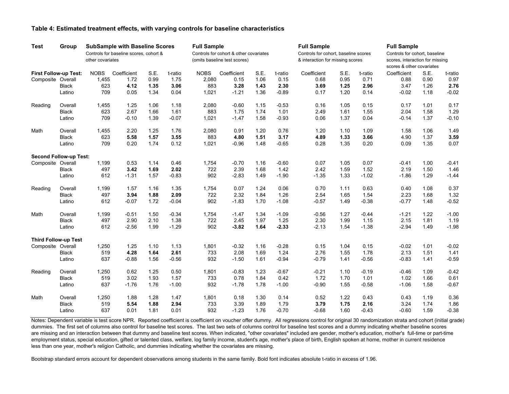| <b>Test</b>                   | Group        |                  | <b>SubSample with Baseline Scores</b>  |      |         | <b>Full Sample</b> |                                                                        |      |         | <b>Full Sample</b>                                                       |      |         | <b>Full Sample</b>                                               |      |         |  |
|-------------------------------|--------------|------------------|----------------------------------------|------|---------|--------------------|------------------------------------------------------------------------|------|---------|--------------------------------------------------------------------------|------|---------|------------------------------------------------------------------|------|---------|--|
|                               |              | other covariates | Controls for baseline scores, cohort & |      |         |                    | Controls for cohort & other covariates<br>(omits baseline test scores) |      |         | Controls for cohort, baseline scores<br>& interaction for missing scores |      |         | Controls for cohort, baseline<br>scores, interaction for missing |      |         |  |
|                               |              |                  |                                        |      |         |                    |                                                                        |      |         |                                                                          |      |         | scores & other covariates                                        |      |         |  |
| First Follow-up Test:         |              | <b>NOBS</b>      | Coefficient                            | S.E. | t-ratio | <b>NOBS</b>        | Coefficient                                                            | S.E. | t-ratio | Coefficient                                                              | S.E. | t-ratio | Coefficient                                                      | S.E. | t-ratio |  |
| Composite Overall             |              | 1,455            | 1.72                                   | 0.99 | 1.75    | 2,080              | 0.15                                                                   | 1.06 | 0.15    | 0.68                                                                     | 0.95 | 0.71    | 0.88                                                             | 0.90 | 0.97    |  |
|                               | <b>Black</b> | 623              | 4.12                                   | 1.35 | 3.06    | 883                | 3.28                                                                   | 1.43 | 2.30    | 3.69                                                                     | 1.25 | 2.96    | 3.47                                                             | 1.26 | 2.76    |  |
|                               | Latino       | 709              | 0.05                                   | 1.34 | 0.04    | 1,021              | $-1.21$                                                                | 1.36 | $-0.89$ | 0.17                                                                     | 1.20 | 0.14    | $-0.02$                                                          | 1.18 | $-0.02$ |  |
| Reading                       | Overall      | 1,455            | 1.25                                   | 1.06 | 1.18    | 2,080              | $-0.60$                                                                | 1.15 | $-0.53$ | 0.16                                                                     | 1.05 | 0.15    | 0.17                                                             | 1.01 | 0.17    |  |
|                               | <b>Black</b> | 623              | 2.67                                   | 1.66 | 1.61    | 883                | 1.75                                                                   | 1.74 | 1.01    | 2.49                                                                     | 1.61 | 1.55    | 2.04                                                             | 1.58 | 1.29    |  |
|                               | Latino       | 709              | $-0.10$                                | 1.39 | $-0.07$ | 1,021              | $-1.47$                                                                | 1.58 | $-0.93$ | 0.06                                                                     | 1.37 | 0.04    | $-0.14$                                                          | 1.37 | $-0.10$ |  |
| Math                          | Overall      | 1,455            | 2.20                                   | 1.25 | 1.76    | 2,080              | 0.91                                                                   | 1.20 | 0.76    | 1.20                                                                     | 1.10 | 1.09    | 1.58                                                             | 1.06 | 1.49    |  |
|                               | <b>Black</b> | 623              | 5.58                                   | 1.57 | 3.55    | 883                | 4.80                                                                   | 1.51 | 3.17    | 4.89                                                                     | 1.33 | 3.66    | 4.90                                                             | 1.37 | 3.59    |  |
|                               | Latino       | 709              | 0.20                                   | 1.74 | 0.12    | 1,021              | $-0.96$                                                                | 1.48 | $-0.65$ | 0.28                                                                     | 1.35 | 0.20    | 0.09                                                             | 1.35 | 0.07    |  |
| <b>Second Follow-up Test:</b> |              |                  |                                        |      |         |                    |                                                                        |      |         |                                                                          |      |         |                                                                  |      |         |  |
| Composite Overall             |              | 1,199            | 0.53                                   | 1.14 | 0.46    | 1,754              | $-0.70$                                                                | 1.16 | $-0.60$ | 0.07                                                                     | 1.05 | 0.07    | $-0.41$                                                          | 1.00 | $-0.41$ |  |
|                               | <b>Black</b> | 497              | 3.42                                   | 1.69 | 2.02    | 722                | 2.39                                                                   | 1.68 | 1.42    | 2.42                                                                     | 1.59 | 1.52    | 2.19                                                             | 1.50 | 1.46    |  |
|                               | Latino       | 612              | $-1.31$                                | 1.57 | $-0.83$ | 902                | $-2.83$                                                                | 1.49 | $-1.90$ | $-1.35$                                                                  | 1.33 | $-1.02$ | $-1.86$                                                          | 1.29 | $-1.44$ |  |
| Reading                       | Overall      | 1,199            | 1.57                                   | 1.16 | 1.35    | 1,754              | 0.07                                                                   | 1.24 | 0.06    | 0.70                                                                     | 1.11 | 0.63    | 0.40                                                             | 1.08 | 0.37    |  |
|                               | <b>Black</b> | 497              | 3.94                                   | 1.88 | 2.09    | 722                | 2.32                                                                   | 1.84 | 1.26    | 2.54                                                                     | 1.65 | 1.54    | 2.23                                                             | 1.68 | 1.32    |  |
|                               | Latino       | 612              | $-0.07$                                | 1.72 | $-0.04$ | 902                | $-1.83$                                                                | 1.70 | $-1.08$ | $-0.57$                                                                  | 1.49 | $-0.38$ | $-0.77$                                                          | 1.48 | $-0.52$ |  |
| Math                          | Overall      | 1,199            | $-0.51$                                | 1.50 | $-0.34$ | 1,754              | $-1.47$                                                                | 1.34 | $-1.09$ | $-0.56$                                                                  | 1.27 | $-0.44$ | $-1.21$                                                          | 1.22 | $-1.00$ |  |
|                               | <b>Black</b> | 497              | 2.90                                   | 2.10 | 1.38    | 722                | 2.45                                                                   | 1.97 | 1.25    | 2.30                                                                     | 1.99 | 1.15    | 2.15                                                             | 1.81 | 1.19    |  |
|                               | Latino       | 612              | $-2.56$                                | 1.99 | $-1.29$ | 902                | $-3.82$                                                                | 1.64 | $-2.33$ | $-2.13$                                                                  | 1.54 | $-1.38$ | $-2.94$                                                          | 1.49 | $-1.98$ |  |
| <b>Third Follow-up Test</b>   |              |                  |                                        |      |         |                    |                                                                        |      |         |                                                                          |      |         |                                                                  |      |         |  |
| Composite Overall             |              | 1,250            | 1.25                                   | 1.10 | 1.13    | 1,801              | $-0.32$                                                                | 1.16 | $-0.28$ | 0.15                                                                     | 1.04 | 0.15    | $-0.02$                                                          | 1.01 | $-0.02$ |  |
|                               | <b>Black</b> | 519              | 4.28                                   | 1.64 | 2.61    | 733                | 2.08                                                                   | 1.69 | 1.24    | 2.76                                                                     | 1.55 | 1.78    | 2.13                                                             | 1.51 | 1.41    |  |
|                               | Latino       | 637              | $-0.88$                                | 1.56 | $-0.56$ | 932                | $-1.50$                                                                | 1.61 | $-0.94$ | $-0.79$                                                                  | 1.41 | $-0.56$ | $-0.83$                                                          | 1.41 | $-0.59$ |  |
| Reading                       | Overall      | 1,250            | 0.62                                   | 1.25 | 0.50    | 1,801              | $-0.83$                                                                | 1.23 | $-0.67$ | $-0.21$                                                                  | 1.10 | $-0.19$ | $-0.46$                                                          | 1.09 | $-0.42$ |  |
|                               | <b>Black</b> | 519              | 3.02                                   | 1.93 | 1.57    | 733                | 0.78                                                                   | 1.84 | 0.42    | 1.72                                                                     | 1.70 | 1.01    | 1.02                                                             | 1.66 | 0.61    |  |
|                               | Latino       | 637              | $-1.76$                                | 1.76 | $-1.00$ | 932                | $-1.78$                                                                | 1.78 | $-1.00$ | $-0.90$                                                                  | 1.55 | $-0.58$ | $-1.06$                                                          | 1.58 | $-0.67$ |  |
| Math                          | Overall      | 1,250            | 1.88                                   | 1.28 | 1.47    | 1,801              | 0.18                                                                   | 1.30 | 0.14    | 0.52                                                                     | 1.22 | 0.43    | 0.43                                                             | 1.19 | 0.36    |  |
|                               | <b>Black</b> | 519              | 5.54                                   | 1.88 | 2.94    | 733                | 3.39                                                                   | 1.89 | 1.79    | 3.79                                                                     | 1.75 | 2.16    | 3.24                                                             | 1.74 | 1.86    |  |
|                               | Latino       | 637              | 0.01                                   | 1.81 | 0.01    | 932                | $-1.23$                                                                | 1.76 | $-0.70$ | $-0.68$                                                                  | 1.60 | $-0.43$ | $-0.60$                                                          | 1.59 | $-0.38$ |  |

#### **Table 4: Estimated treatment effects, with varying controls for baseline characteristics**

Notes: Dependent variable is test score NPR. Reported coefficient is coefficient on voucher offer dummy. All regressions control for original 30 randomization strata and cohort (initial grade) dummies. The first set of columns also control for baseline test scores. The last two sets of columns control for baseline test scores and a dummy indicating whether baseline scores are missing and an interaction between that dummy and baseline test scores. When indicated, "other covariates" included are gender, mother's education, mother's full-time or part-time employment status, special education, gifted or talented class, welfare, log family income, student's age, mother's place of birth, English spoken at home, mother in current residence less than one year, mother's religion Catholic, and dummies indicating whether the covariates are missing.

Bootstrap standard errors account for dependent observations among students in the same family. Bold font indicates absolute t-ratio in excess of 1.96.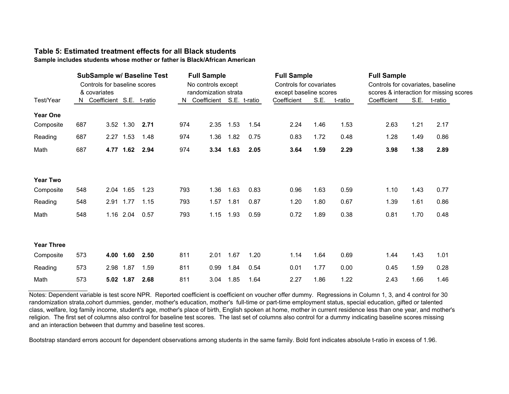# **Table 5: Estimated treatment effects for all Black studentsSample includes students whose mother or father is Black/African American**

|                   |              |                              |           | <b>SubSample w/ Baseline Test</b> |     | <b>Full Sample</b>       |      |      | <b>Full Sample</b>      |      |         | <b>Full Sample</b>                |      |                                         |  |
|-------------------|--------------|------------------------------|-----------|-----------------------------------|-----|--------------------------|------|------|-------------------------|------|---------|-----------------------------------|------|-----------------------------------------|--|
|                   |              | Controls for baseline scores |           |                                   |     | No controls except       |      |      | Controls for covariates |      |         | Controls for covariates, baseline |      |                                         |  |
|                   | & covariates |                              |           |                                   |     | randomization strata     |      |      | except baseline scores  |      |         |                                   |      | scores & interaction for missing scores |  |
| Test/Year         | N.           | Coefficient S.E.             |           | t-ratio                           | N.  | Coefficient S.E. t-ratio |      |      | Coefficient             | S.E. | t-ratio | Coefficient                       | S.E. | t-ratio                                 |  |
| <b>Year One</b>   |              |                              |           |                                   |     |                          |      |      |                         |      |         |                                   |      |                                         |  |
| Composite         | 687          |                              | 3.52 1.30 | 2.71                              | 974 | 2.35                     | 1.53 | 1.54 | 2.24                    | 1.46 | 1.53    | 2.63                              | 1.21 | 2.17                                    |  |
| Reading           | 687          |                              | 2.27 1.53 | 1.48                              | 974 | 1.36                     | 1.82 | 0.75 | 0.83                    | 1.72 | 0.48    | 1.28                              | 1.49 | 0.86                                    |  |
| Math              | 687          |                              | 4.77 1.62 | 2.94                              | 974 | 3.34                     | 1.63 | 2.05 | 3.64                    | 1.59 | 2.29    | 3.98                              | 1.38 | 2.89                                    |  |
|                   |              |                              |           |                                   |     |                          |      |      |                         |      |         |                                   |      |                                         |  |
| <b>Year Two</b>   |              |                              |           |                                   |     |                          |      |      |                         |      |         |                                   |      |                                         |  |
| Composite         | 548          |                              | 2.04 1.65 | 1.23                              | 793 | 1.36                     | 1.63 | 0.83 | 0.96                    | 1.63 | 0.59    | 1.10                              | 1.43 | 0.77                                    |  |
| Reading           | 548          |                              | 2.91 1.77 | 1.15                              | 793 | 1.57                     | 1.81 | 0.87 | 1.20                    | 1.80 | 0.67    | 1.39                              | 1.61 | 0.86                                    |  |
| Math              | 548          |                              | 1.16 2.04 | 0.57                              | 793 | 1.15                     | 1.93 | 0.59 | 0.72                    | 1.89 | 0.38    | 0.81                              | 1.70 | 0.48                                    |  |
|                   |              |                              |           |                                   |     |                          |      |      |                         |      |         |                                   |      |                                         |  |
| <b>Year Three</b> |              |                              |           |                                   |     |                          |      |      |                         |      |         |                                   |      |                                         |  |
| Composite         | 573          |                              | 4.00 1.60 | 2.50                              | 811 | 2.01                     | 1.67 | 1.20 | 1.14                    | 1.64 | 0.69    | 1.44                              | 1.43 | 1.01                                    |  |
| Reading           | 573          |                              | 2.98 1.87 | 1.59                              | 811 | 0.99                     | 1.84 | 0.54 | 0.01                    | 1.77 | 0.00    | 0.45                              | 1.59 | 0.28                                    |  |
| Math              | 573          |                              | 5.02 1.87 | 2.68                              | 811 | 3.04                     | 1.85 | 1.64 | 2.27                    | 1.86 | 1.22    | 2.43                              | 1.66 | 1.46                                    |  |

Notes: Dependent variable is test score NPR. Reported coefficient is coefficient on voucher offer dummy. Regressions in Column 1, 3, and 4 control for 30 randomization strata,cohort dummies, gender, mother's education, mother's full-time or part-time employment status, special education, gifted or talented class, welfare, log family income, student's age, mother's place of birth, English spoken at home, mother in current residence less than one year, and mother's religion. The first set of columns also control for baseline test scores. The last set of columns also control for a dummy indicating baseline scores missing and an interaction between that dummy and baseline test scores.

Bootstrap standard errors account for dependent observations among students in the same family. Bold font indicates absolute t-ratio in excess of 1.96.